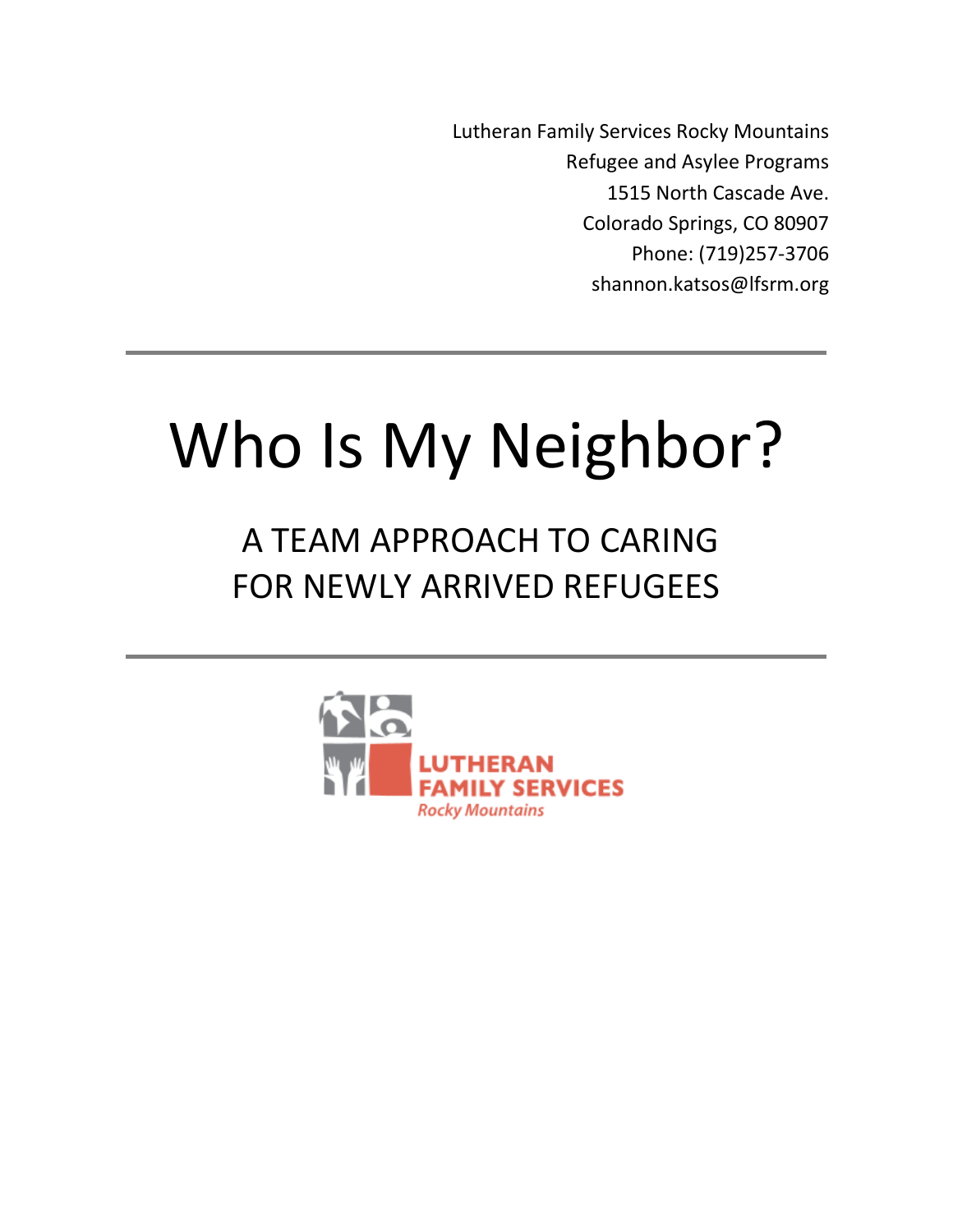Lutheran Family Services Rocky Mountains Refugee and Asylee Programs 1515 North Cascade Ave. Colorado Springs, CO 80907 Phone: (719)257-3706 shannon.katsos@lfsrm.org

# Who Is My Neighbor?

## A TEAM APPROACH TO CARING FOR NEWLY ARRIVED REFUGEES

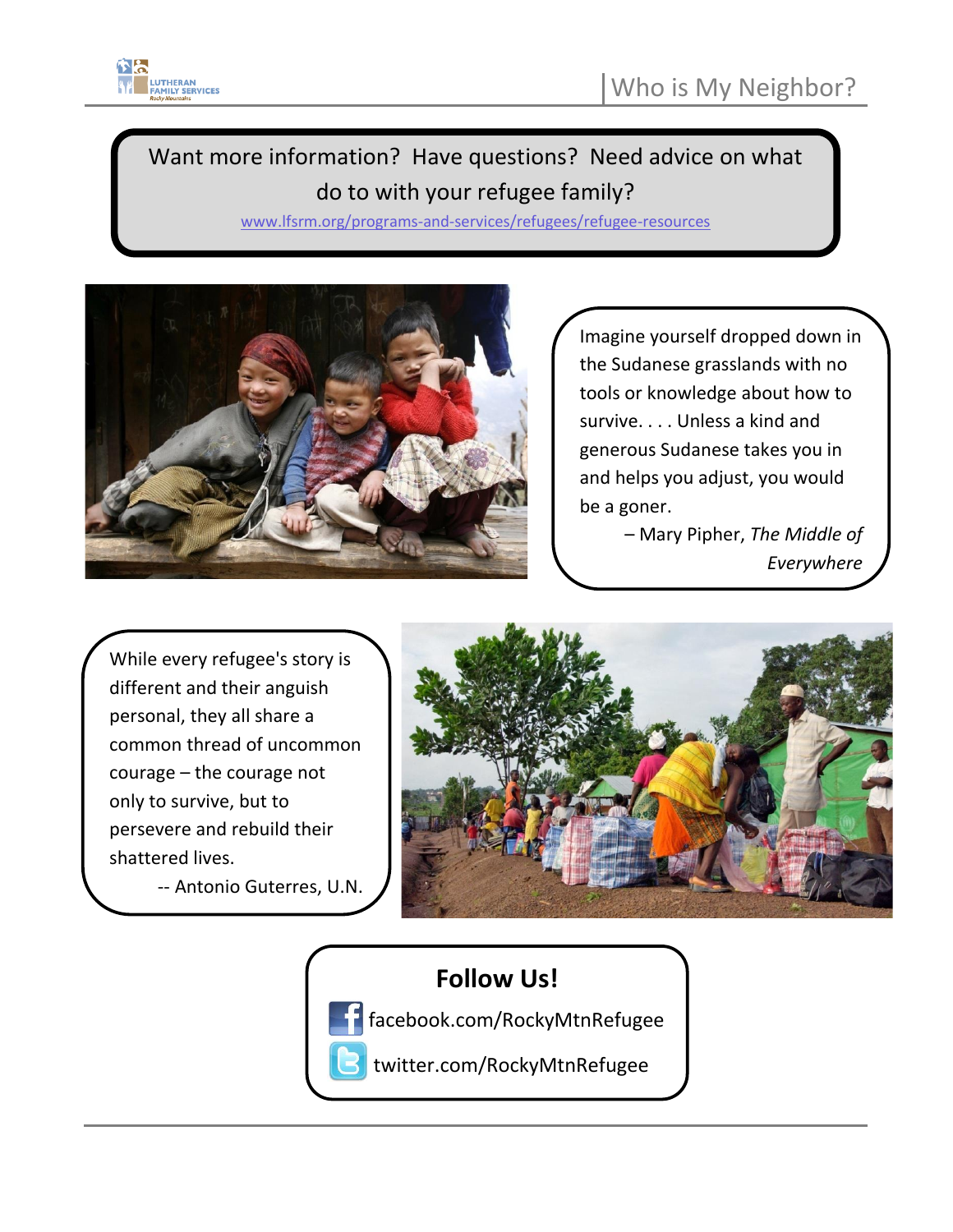

### Want more information? Have questions? Need advice on what do to with your refugee family?

[www.lfsrm.org/programs-and-services/refugees/refugee-resources](http://www.lfsrm.org/programs-and-services/refugees/refugee-resources)



Imagine yourself dropped down in the Sudanese grasslands with no tools or knowledge about how to survive. . . . Unless a kind and generous Sudanese takes you in and helps you adjust, you would be a goner.

> – Mary Pipher, *The Middle of Everywhere*

While every refugee's story is different and their anguish personal, they all share a common thread of uncommon courage – the courage not only to survive, but to persevere and rebuild their shattered lives.

> -- Antonio Guterres, U.N.  $\overline{\phantom{a}}$  and  $\overline{\phantom{a}}$



### **Follow Us!**

 $\overline{\phantom{a}}$ 

facebook.com/RockyMtnRefugee

twitter.com/RockyMtnRefugee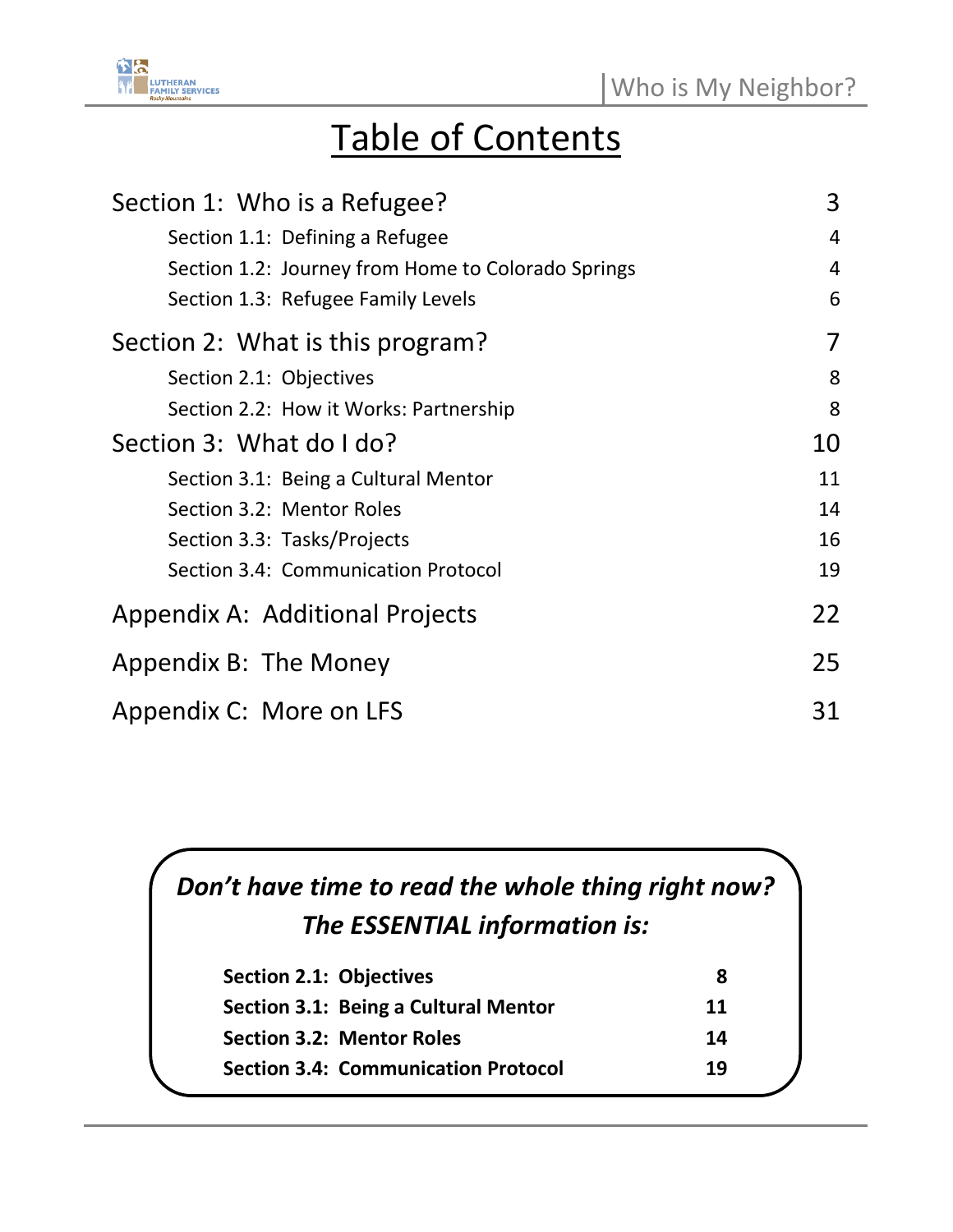

## Table of Contents

| Section 1: Who is a Refugee?                       | 3  |
|----------------------------------------------------|----|
| Section 1.1: Defining a Refugee                    | 4  |
| Section 1.2: Journey from Home to Colorado Springs | 4  |
| Section 1.3: Refugee Family Levels                 | 6  |
| Section 2: What is this program?                   | 7  |
| Section 2.1: Objectives                            | 8  |
| Section 2.2: How it Works: Partnership             | 8  |
| Section 3: What do I do?                           | 10 |
| Section 3.1: Being a Cultural Mentor               | 11 |
| Section 3.2: Mentor Roles                          | 14 |
| Section 3.3: Tasks/Projects                        | 16 |
| Section 3.4: Communication Protocol                | 19 |
| Appendix A: Additional Projects                    | 22 |
| Appendix B: The Money                              | 25 |
| Appendix C: More on LFS                            | 31 |

### *Don't have time to read the whole thing right now?* *The ESSENTIAL information is:*

| <b>Section 2.1: Objectives</b>             | 8  |
|--------------------------------------------|----|
| Section 3.1: Being a Cultural Mentor       | 11 |
| <b>Section 3.2: Mentor Roles</b>           | 14 |
| <b>Section 3.4: Communication Protocol</b> | 19 |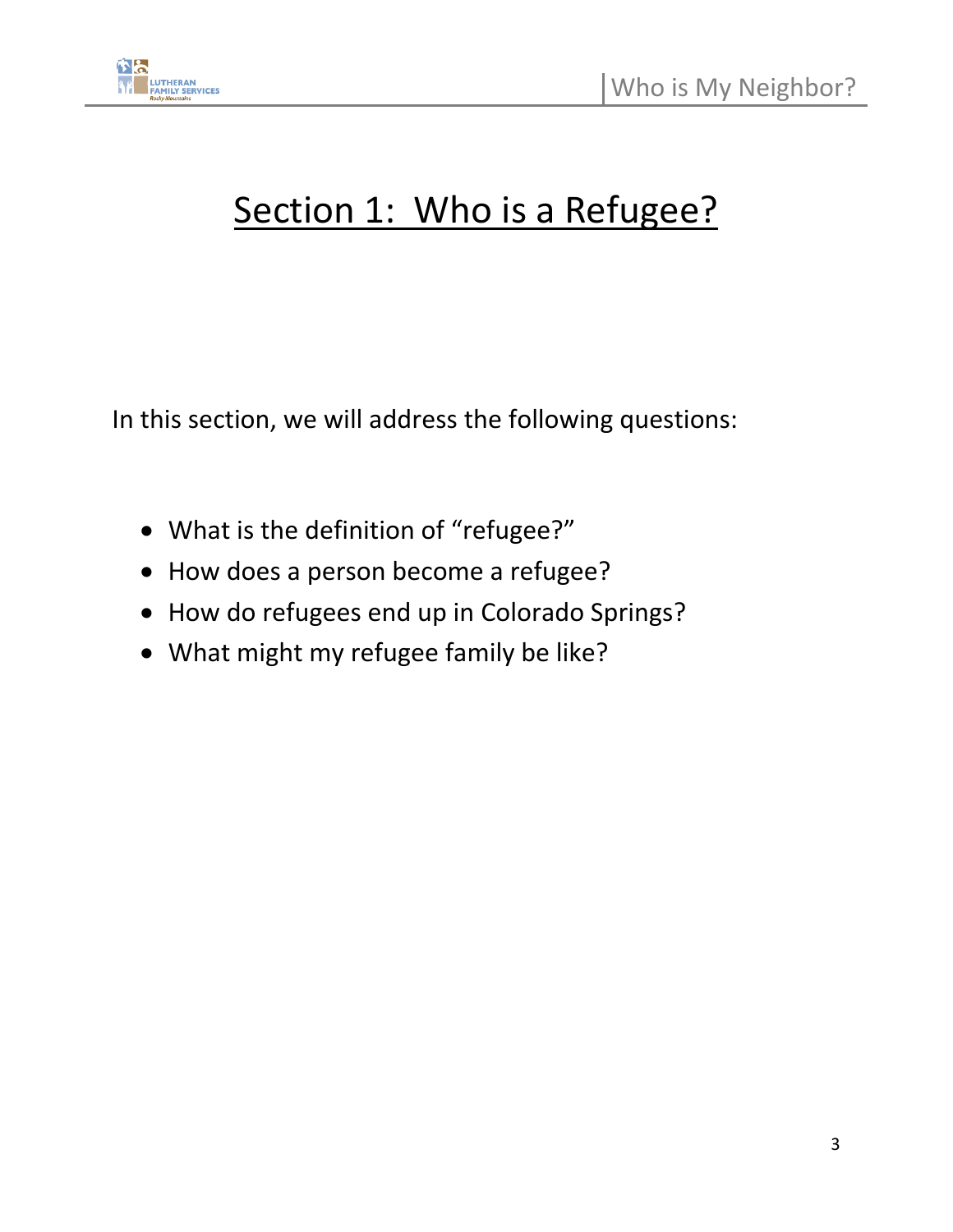

## Section 1: Who is a Refugee?

In this section, we will address the following questions:

- What is the definition of "refugee?"
- How does a person become a refugee?
- How do refugees end up in Colorado Springs?
- What might my refugee family be like?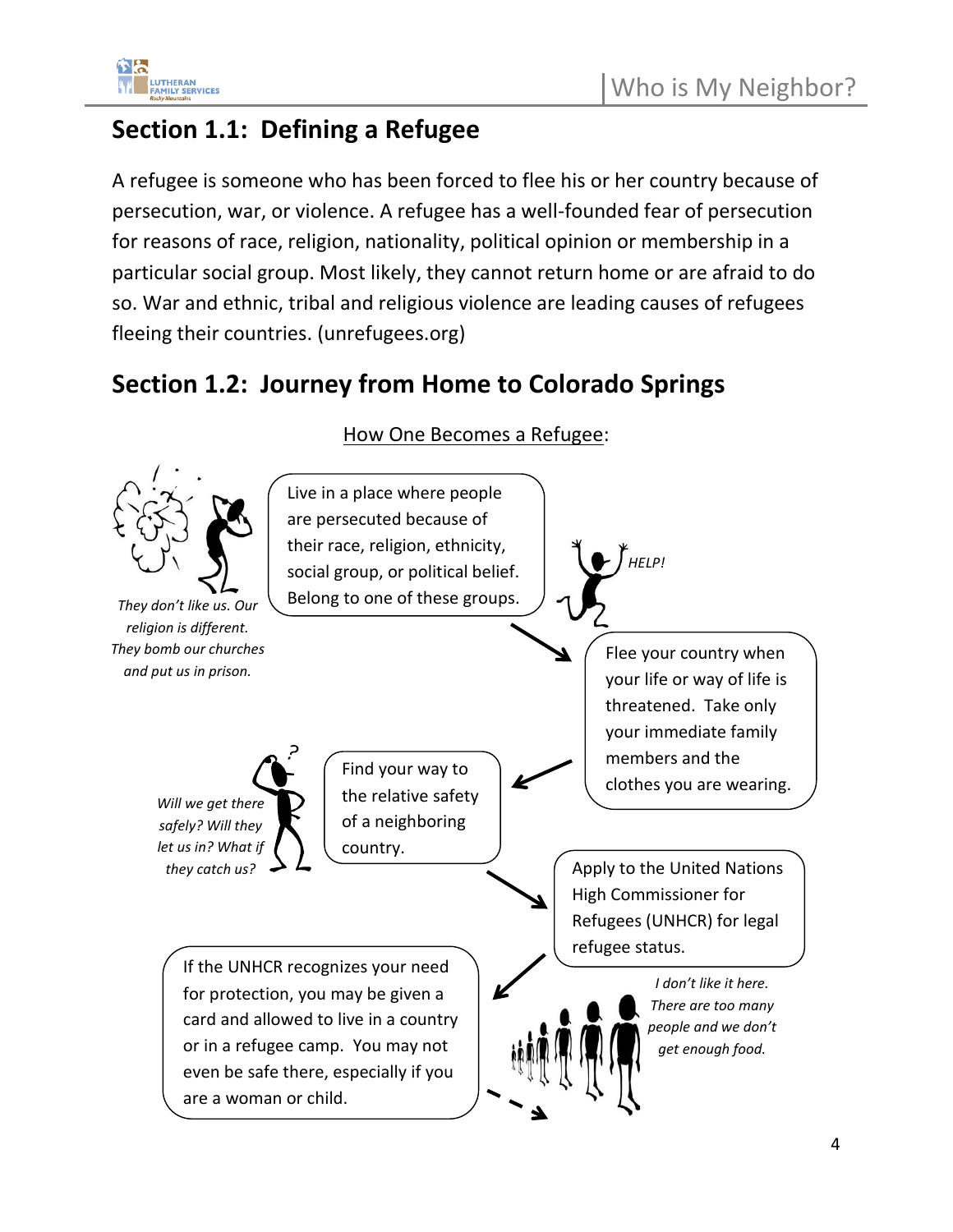

### **Section 1.1: Defining a Refugee**

A refugee is someone who has been forced to flee his or her country because of persecution, war, or violence. A refugee has a well-founded fear of persecution for reasons of race, religion, nationality, political opinion or membership in a particular social group. Most likely, they cannot return home or are afraid to do so. War and ethnic, tribal and religious violence are leading causes of refugees fleeing their countries. (unrefugees.org)

### **Section 1.2: Journey from Home to Colorado Springs**



How One Becomes a Refugee: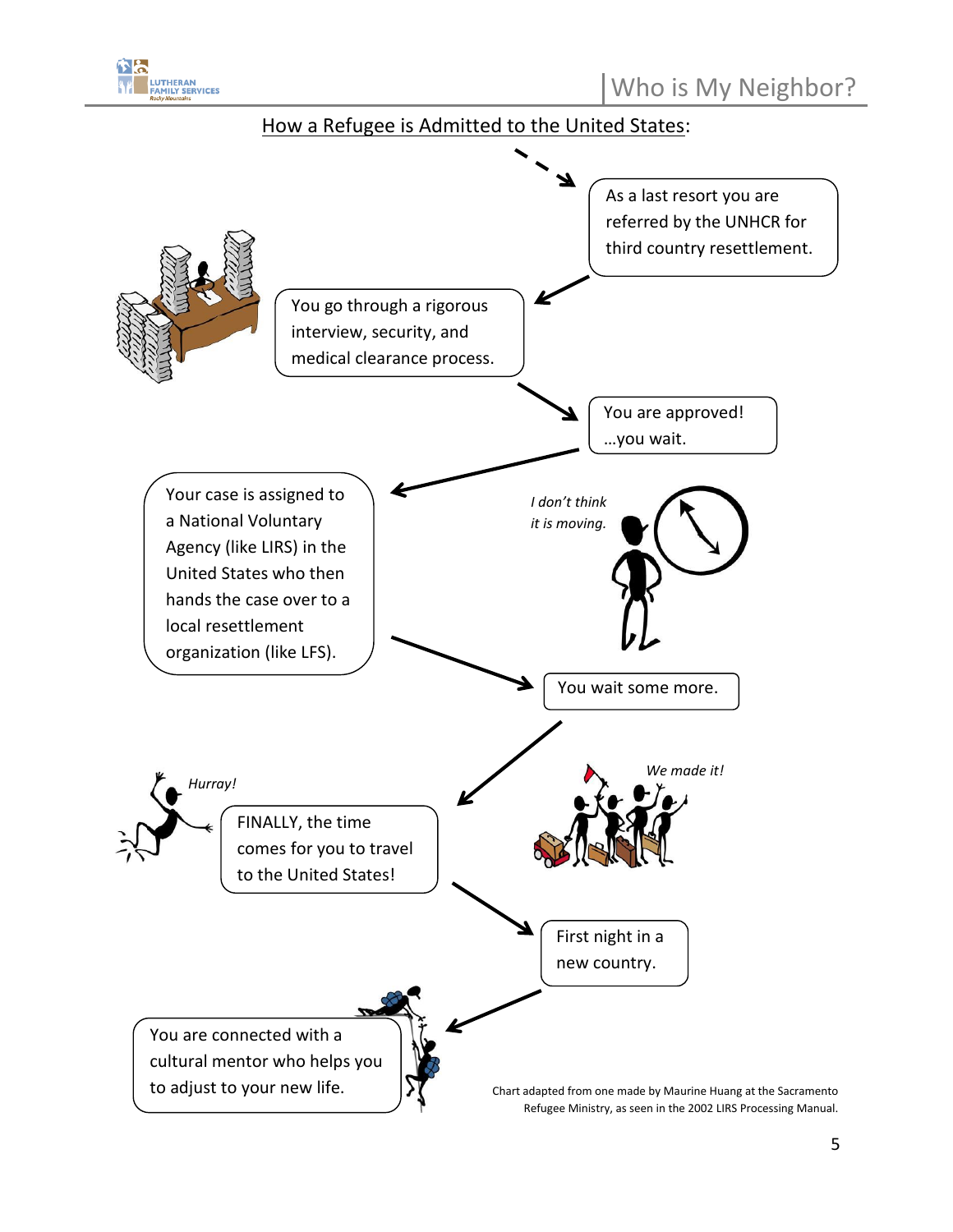

#### How a Refugee is Admitted to the United States:

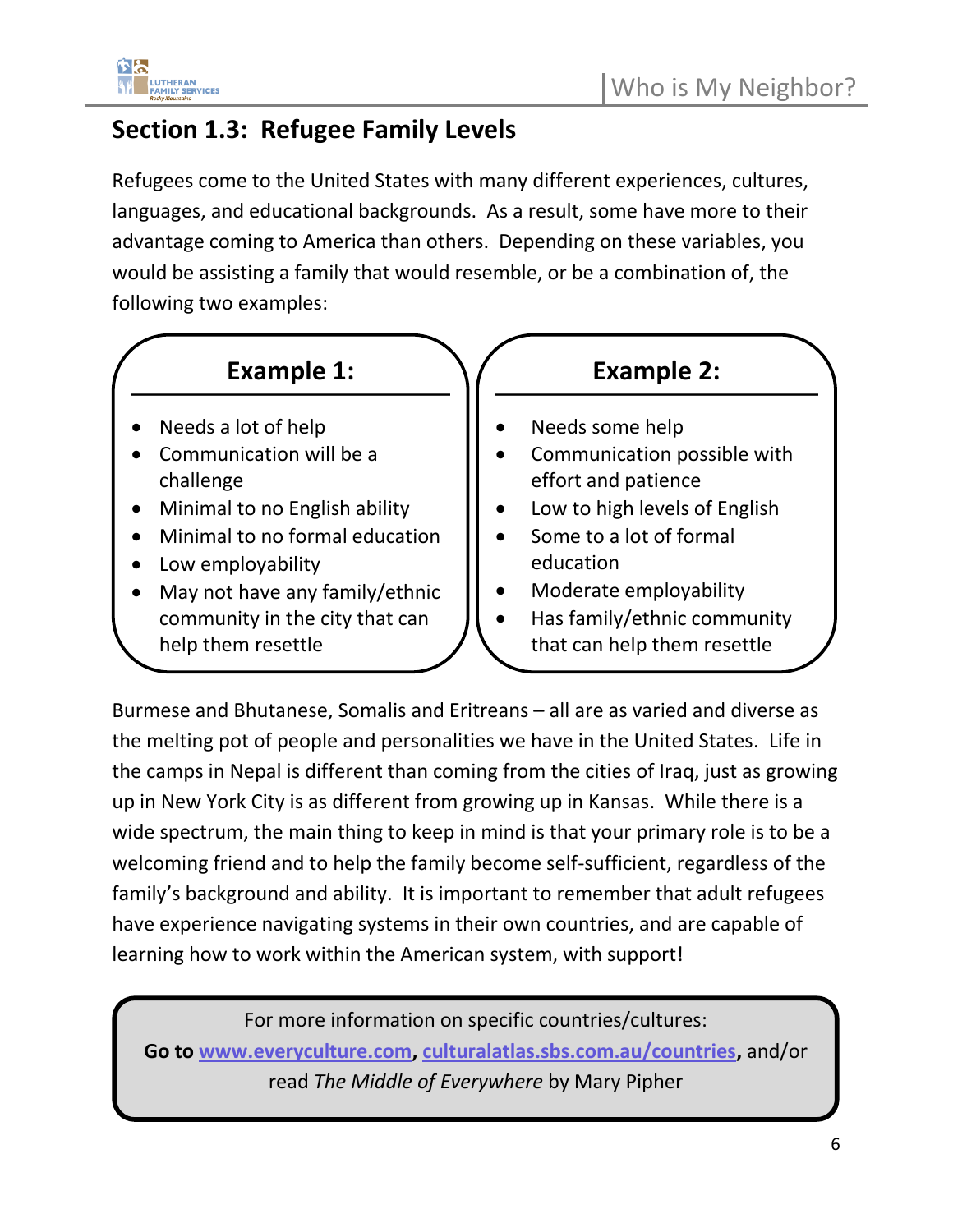

### **Section 1.3: Refugee Family Levels**

help them resettle

Refugees come to the United States with many different experiences, cultures, languages, and educational backgrounds. As a result, some have more to their advantage coming to America than others. Depending on these variables, you would be assisting a family that would resemble, or be a combination of, the following two examples:



• Has family/ethnic community that can help them resettle

Burmese and Bhutanese, Somalis and Eritreans – all are as varied and diverse as the melting pot of people and personalities we have in the United States. Life in the camps in Nepal is different than coming from the cities of Iraq, just as growing up in New York City is as different from growing up in Kansas. While there is a wide spectrum, the main thing to keep in mind is that your primary role is to be a welcoming friend and to help the family become self-sufficient, regardless of the family's background and ability. It is important to remember that adult refugees have experience navigating systems in their own countries, and are capable of learning how to work within the American system, with support!

For more information on specific countries/cultures:

**Go to [www.everyculture.com,](http://www.everyculture.com/) [culturalatlas.sbs.com.au/countries,](https://culturalatlas.sbs.com.au/countries)** and/or read *The Middle of Everywhere* by Mary Pipher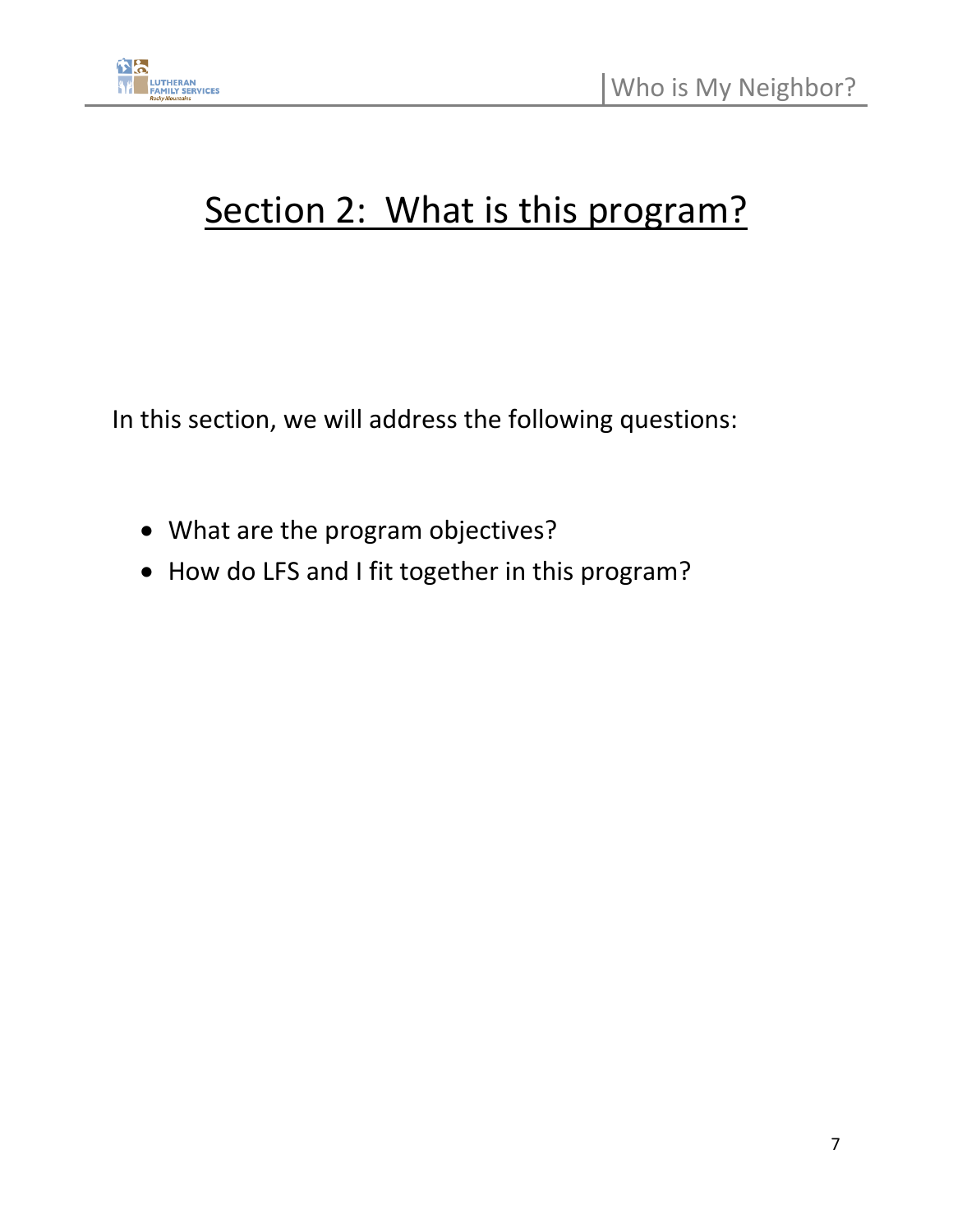

## Section 2: What is this program?

In this section, we will address the following questions:

- What are the program objectives?
- How do LFS and I fit together in this program?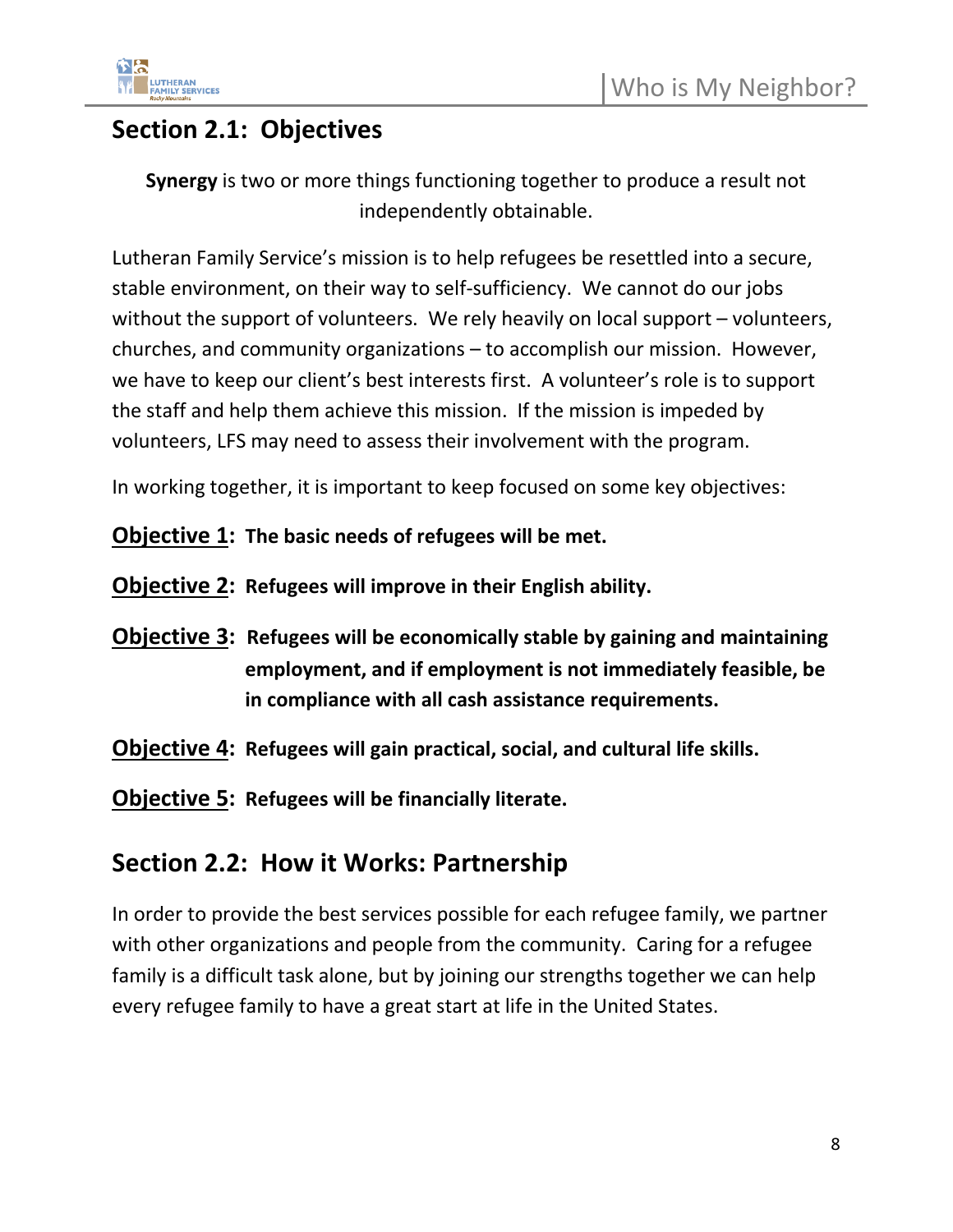

### **Section 2.1: Objectives**

**Synergy** is two or more things functioning together to produce a result not independently obtainable.

Lutheran Family Service's mission is to help refugees be resettled into a secure, stable environment, on their way to self-sufficiency. We cannot do our jobs without the support of volunteers. We rely heavily on local support – volunteers, churches, and community organizations – to accomplish our mission. However, we have to keep our client's best interests first. A volunteer's role is to support the staff and help them achieve this mission. If the mission is impeded by volunteers, LFS may need to assess their involvement with the program.

In working together, it is important to keep focused on some key objectives:

#### **Objective 1: The basic needs of refugees will be met.**

**Objective 2: Refugees will improve in their English ability.**

- **Objective 3: Refugees will be economically stable by gaining and maintaining employment, and if employment is not immediately feasible, be in compliance with all cash assistance requirements.**
- **Objective 4: Refugees will gain practical, social, and cultural life skills.**

**Objective 5: Refugees will be financially literate.** 

### **Section 2.2: How it Works: Partnership**

In order to provide the best services possible for each refugee family, we partner with other organizations and people from the community. Caring for a refugee family is a difficult task alone, but by joining our strengths together we can help every refugee family to have a great start at life in the United States.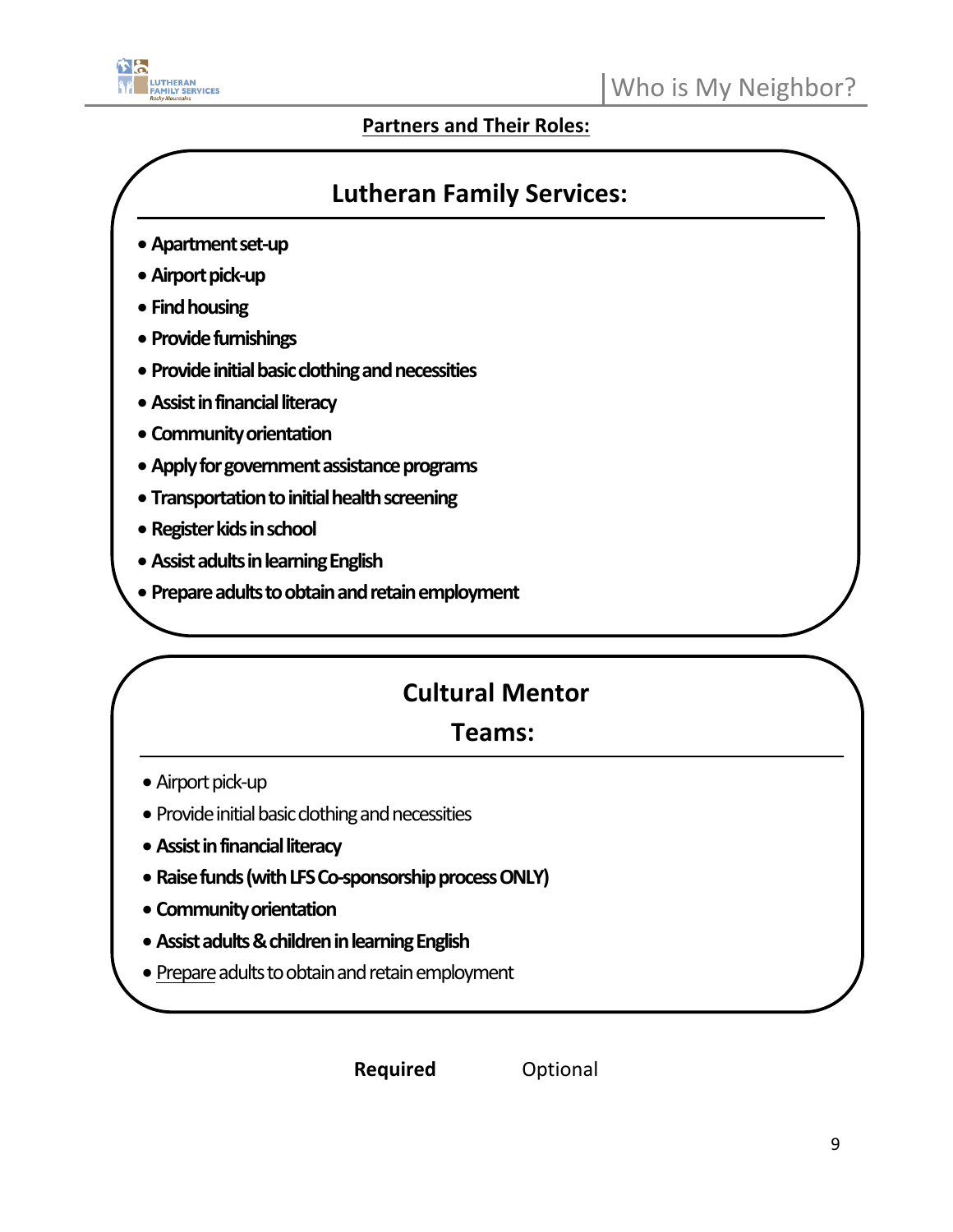

#### **Partners and Their Roles:**

### **Lutheran Family Services:**

- **Apartment set-up**
- **Airport pick-up**
- **Find housing**
- **Provide furnishings**
- **Provide initial basic clothing and necessities**
- **Assist in financial literacy**
- **Community orientation**
- **Apply for government assistance programs**
- **Transportation to initial health screening**
- **Register kidsin school**
- **Assist adults in learning English**
- **Prepare adults to obtain and retain employment**

### **Cultural Mentor**

### **Teams:**

- Airport pick-up
- Provide initial basic clothing and necessities
- **Assist in financial literacy**
- **Raise funds (with LFS Co-sponsorship process ONLY)**
- **Community orientation**
- **Assist adults & children in learning English**

• Limited transportation assistance

• Prepare adults to obtain and retain employment

**Pany additional Required Continued Must be discussed with any approximal value of Volunteer**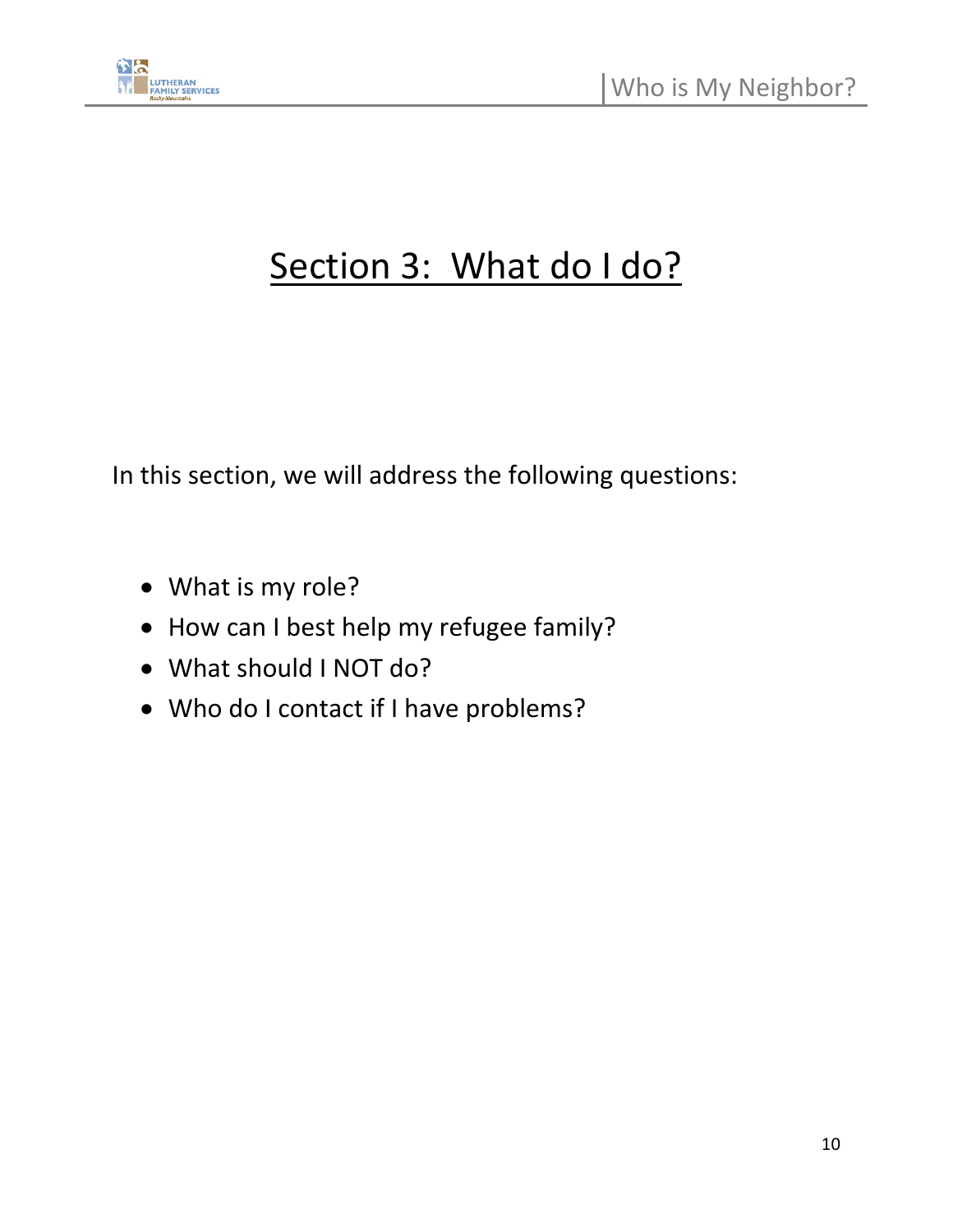

## Section 3: What do I do?

In this section, we will address the following questions:

- What is my role?
- How can I best help my refugee family?
- What should I NOT do?
- Who do I contact if I have problems?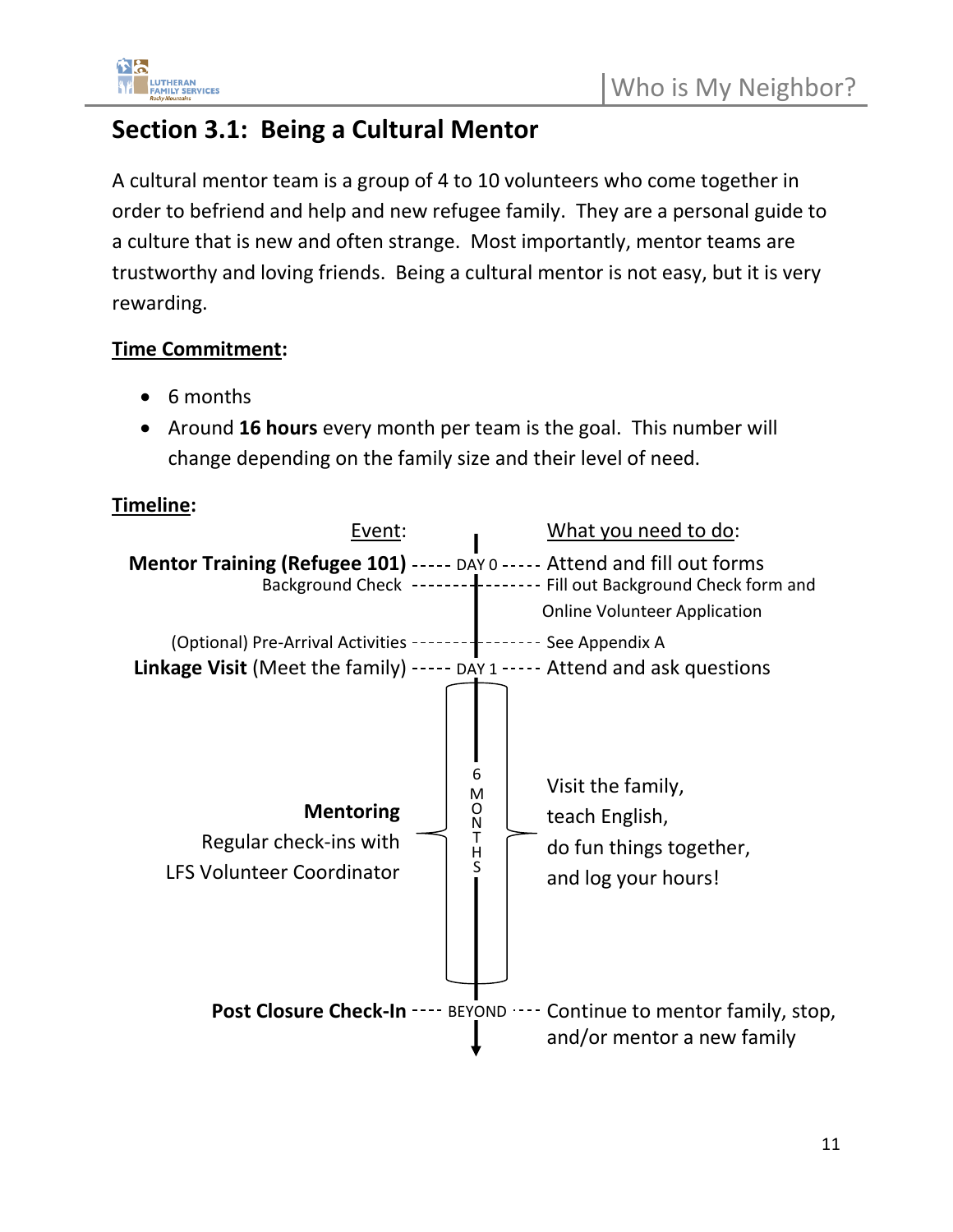### **Section 3.1: Being a Cultural Mentor**

A cultural mentor team is a group of 4 to 10 volunteers who come together in order to befriend and help and new refugee family. They are a personal guide to a culture that is new and often strange. Most importantly, mentor teams are trustworthy and loving friends. Being a cultural mentor is not easy, but it is very rewarding.

#### **Time Commitment:**

- 6 months
- Around **16 hours** every month per team is the goal. This number will change depending on the family size and their level of need.

#### **Timeline:**

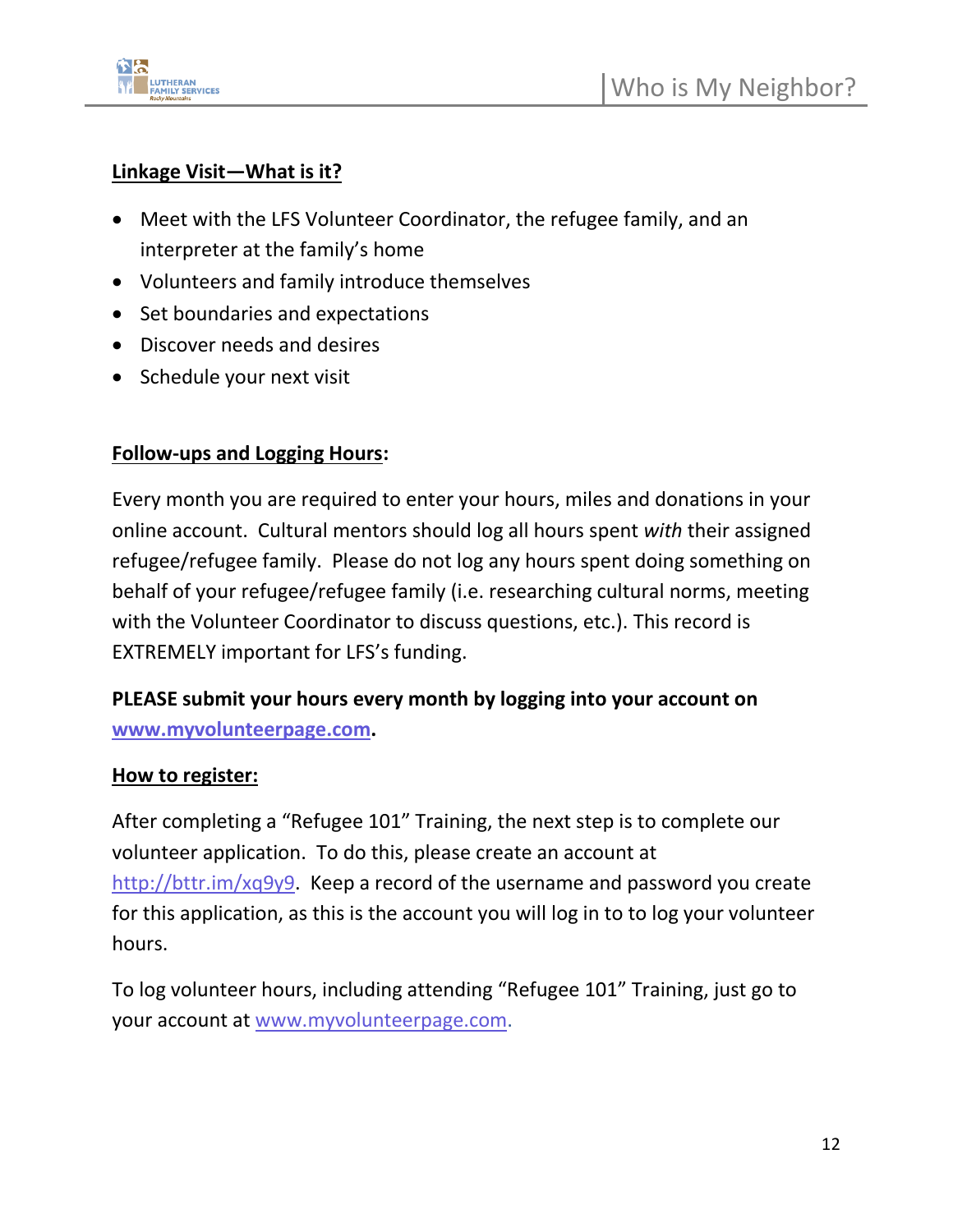

#### **Linkage Visit—What is it?**

- Meet with the LFS Volunteer Coordinator, the refugee family, and an interpreter at the family's home
- Volunteers and family introduce themselves
- Set boundaries and expectations
- Discover needs and desires
- Schedule your next visit

#### **Follow-ups and Logging Hours:**

Every month you are required to enter your hours, miles and donations in your online account. Cultural mentors should log all hours spent *with* their assigned refugee/refugee family. Please do not log any hours spent doing something on behalf of your refugee/refugee family (i.e. researching cultural norms, meeting with the Volunteer Coordinator to discuss questions, etc.). This record is EXTREMELY important for LFS's funding.

#### **PLEASE submit your hours every month by logging into your account on [www.myvolunteerpage.com.](www.myvolunteerpage.com)**

#### **How to register:**

After completing a "Refugee 101" Training, the next step is to complete our volunteer application. To do this, please create an account at [http://bttr.im/xq9y9.](http://bttr.im/xq9y9) Keep a record of the username and password you create for this application, as this is the account you will log in to to log your volunteer hours.

To log volunteer hours, including attending "Refugee 101" Training, just go to your account at [www.myvolunteerpage.com.](http://www.myvolunteerpage.com/)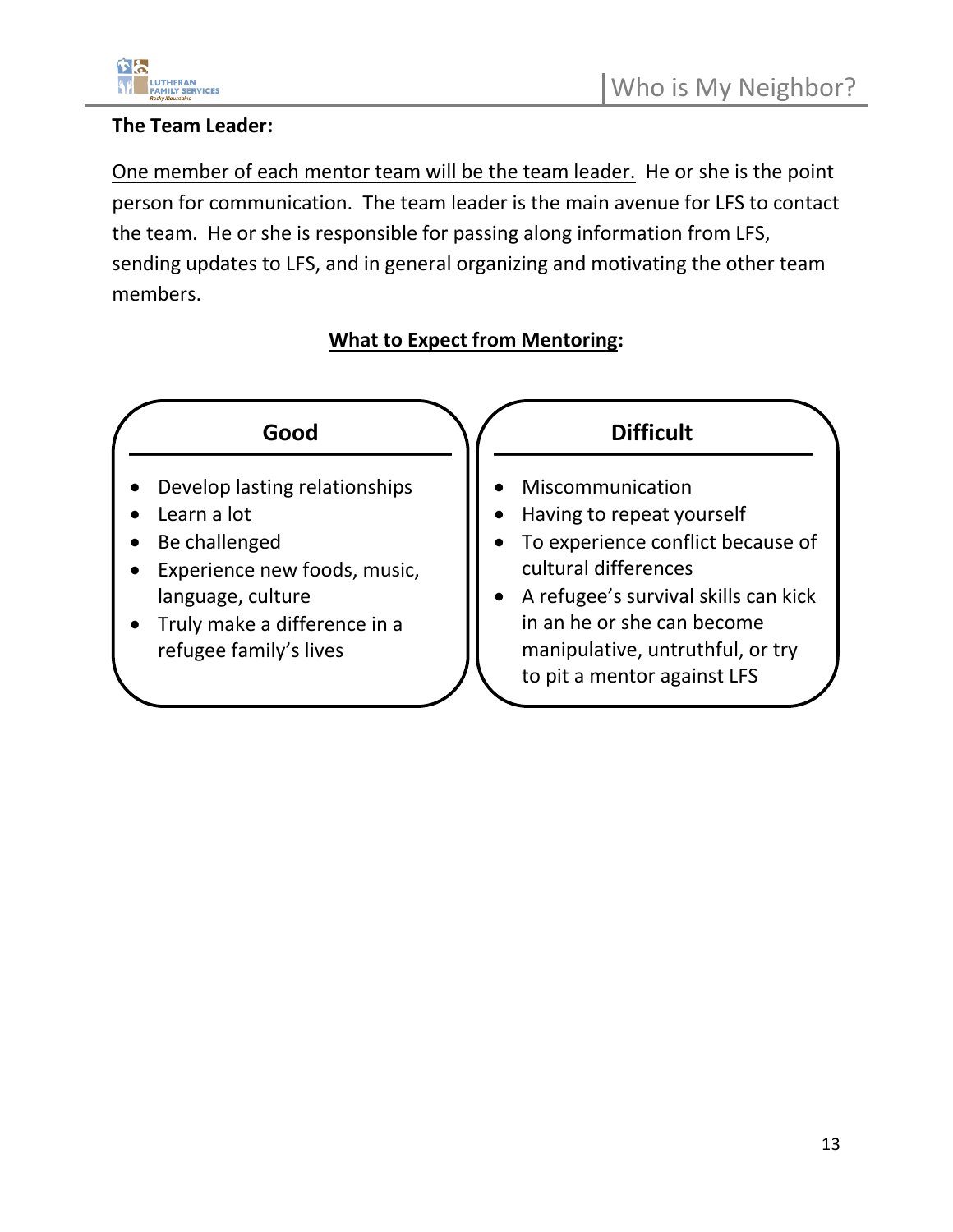

#### **The Team Leader:**

One member of each mentor team will be the team leader. He or she is the point person for communication. The team leader is the main avenue for LFS to contact the team. He or she is responsible for passing along information from LFS, sending updates to LFS, and in general organizing and motivating the other team members.

#### **What to Expect from Mentoring:**

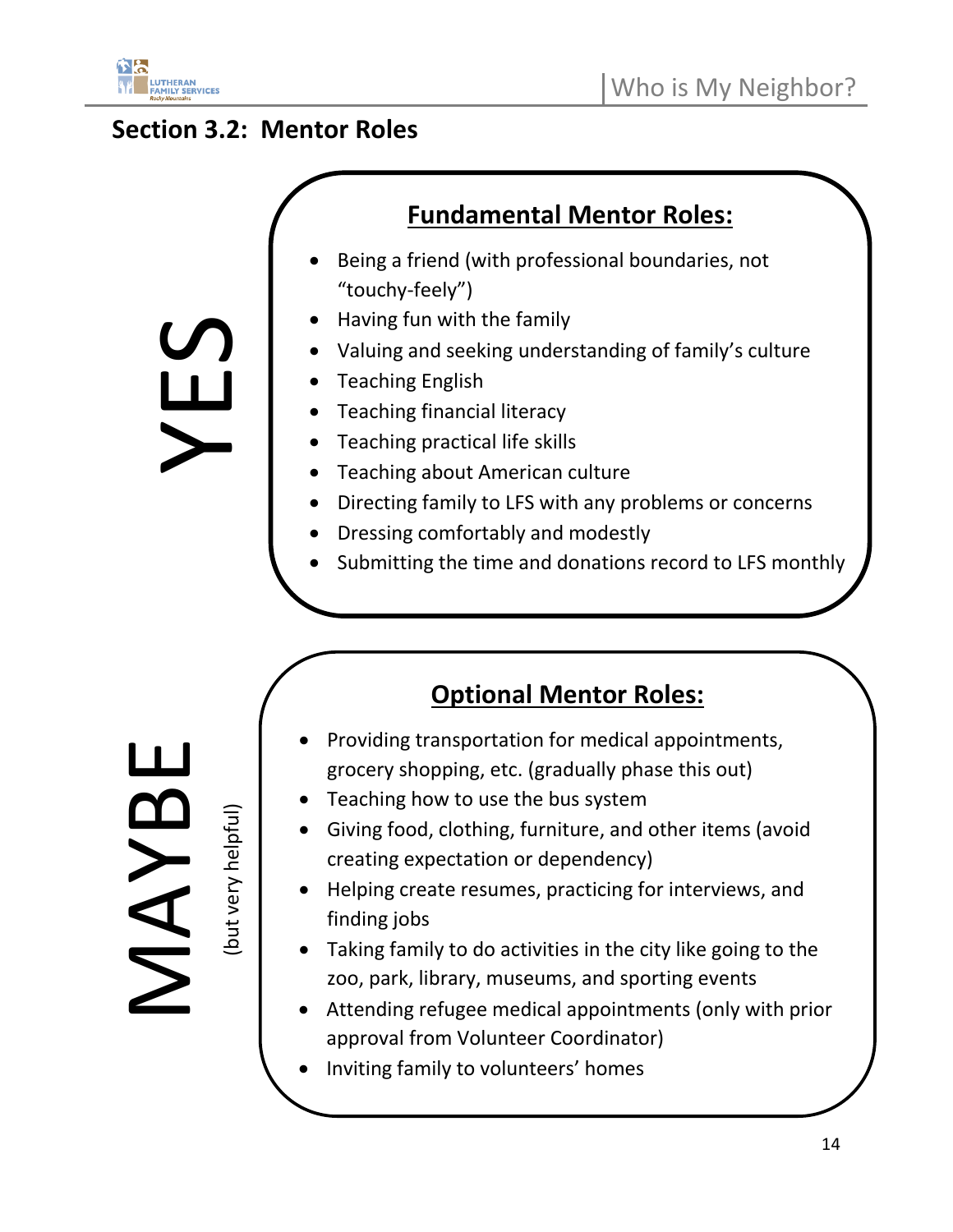

### **Section 3.2: Mentor Roles**

YES

### **Fundamental Mentor Roles:**

- Being a friend (with professional boundaries, not "touchy-feely")
- Having fun with the family
- Valuing and seeking understanding of family's culture
- Teaching English
- Teaching financial literacy
- Teaching practical life skills
- Teaching about American culture
- Directing family to LFS with any problems or concerns
- Dressing comfortably and modestly
- Submitting the time and donations record to LFS monthly

**MAYE** 

(but very helpful)

- **Optional Mentor Roles:**
- Providing transportation for medical appointments, grocery shopping, etc. (gradually phase this out)
- Teaching how to use the bus system
- Giving food, clothing, furniture, and other items (avoid creating expectation or dependency)
- Helping create resumes, practicing for interviews, and finding jobs
- Taking family to do activities in the city like going to the zoo, park, library, museums, and sporting events
- Attending refugee medical appointments (only with prior approval from Volunteer Coordinator)
- Inviting family to volunteers' homes

14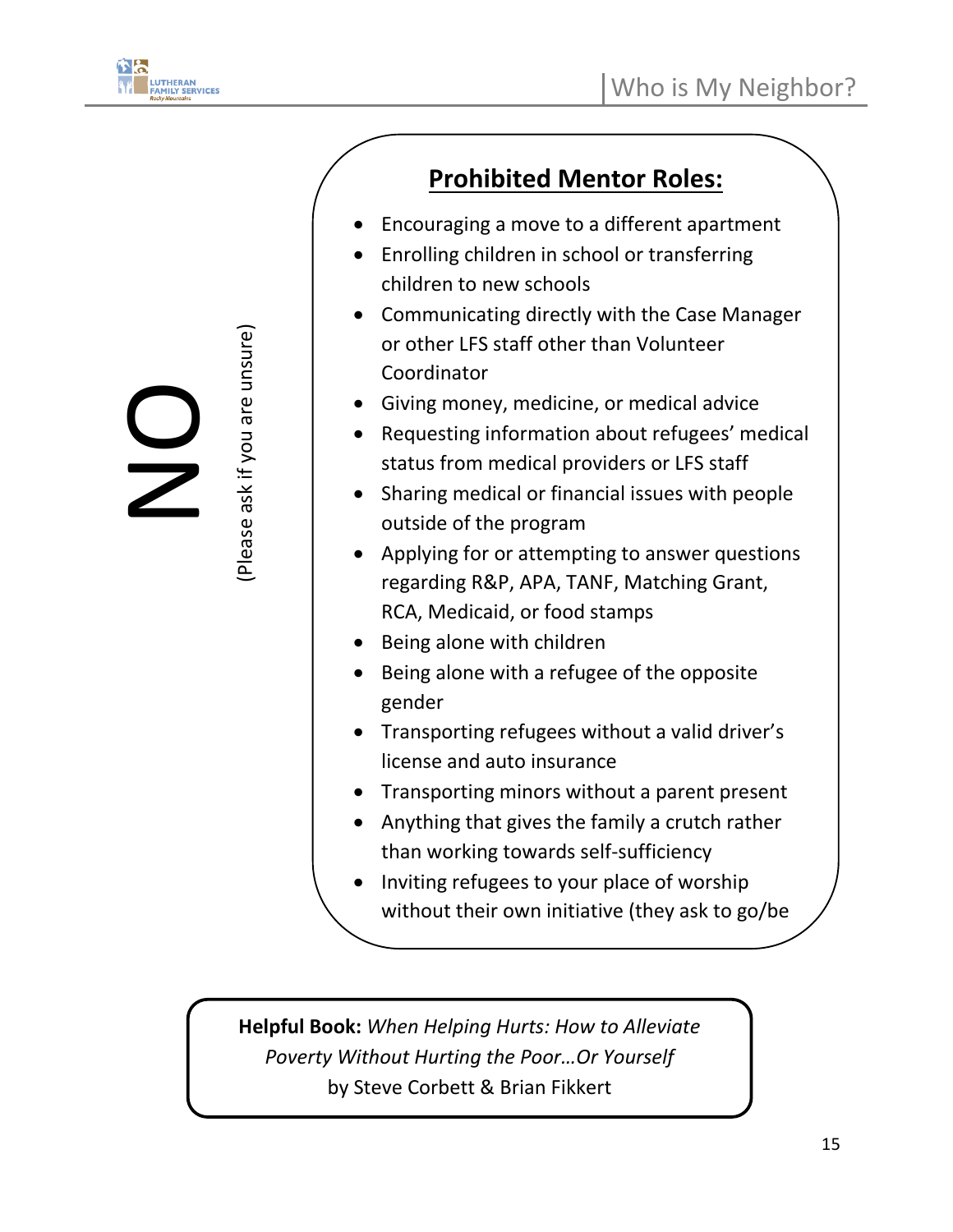

Please ask if you are unsure)

(Please ask if you are unsure)

### **Prohibited Mentor Roles:**

- Encouraging a move to a different apartment
- Enrolling children in school or transferring children to new schools
- Communicating directly with the Case Manager or other LFS staff other than Volunteer Coordinator
- Giving money, medicine, or medical advice
- Requesting information about refugees' medical status from medical providers or LFS staff
- Sharing medical or financial issues with people outside of the program
- Applying for or attempting to answer questions regarding R&P, APA, TANF, Matching Grant, RCA, Medicaid, or food stamps
- Being alone with children
- Being alone with a refugee of the opposite gender
- Transporting refugees without a valid driver's license and auto insurance
- Transporting minors without a parent present
- Anything that gives the family a crutch rather than working towards self-sufficiency
- Inviting refugees to your place of worship without their own initiative (they ask to go/be

**Helpful Book:** *When Helping Hurts: How to Alleviate Poverty Without Hurting the Poor…Or Yourself* by Steve Corbett & Brian Fikkert

 $\overline{\phantom{a}}$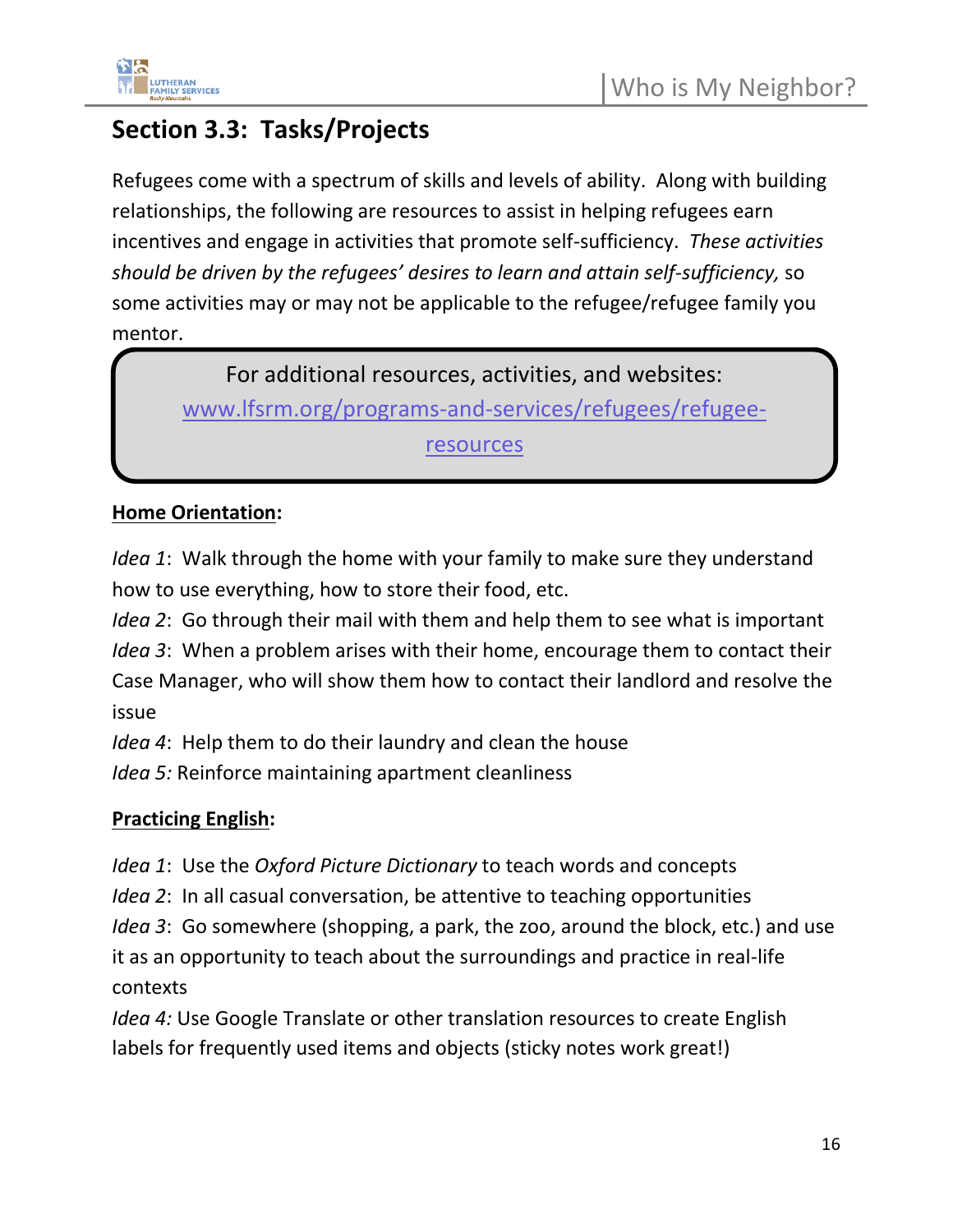

### **Section 3.3: Tasks/Projects**

Refugees come with a spectrum of skills and levels of ability. Along with building relationships, the following are resources to assist in helping refugees earn incentives and engage in activities that promote self-sufficiency. *These activities should be driven by the refugees' desires to learn and attain self-sufficiency,* so some activities may or may not be applicable to the refugee/refugee family you mentor.

For additional resources, activities, and websites: [www.lfsrm.org/programs-and-services/refugees/refugee](http://www.lfsrm.org/programs-and-services/refugees/refugee-resources)[resources](http://www.lfsrm.org/programs-and-services/refugees/refugee-resources)

#### **Home Orientation:**

*Idea 1*: Walk through the home with your family to make sure they understand how to use everything, how to store their food, etc.

*Idea 2*: Go through their mail with them and help them to see what is important

*Idea 3*: When a problem arises with their home, encourage them to contact their Case Manager, who will show them how to contact their landlord and resolve the issue

*Idea 4*: Help them to do their laundry and clean the house

*Idea 5:* Reinforce maintaining apartment cleanliness

#### **Practicing English:**

*Idea 1*: Use the *Oxford Picture Dictionary* to teach words and concepts

*Idea 2*: In all casual conversation, be attentive to teaching opportunities

*Idea 3*: Go somewhere (shopping, a park, the zoo, around the block, etc.) and use it as an opportunity to teach about the surroundings and practice in real-life contexts

*Idea 4:* Use Google Translate or other translation resources to create English labels for frequently used items and objects (sticky notes work great!)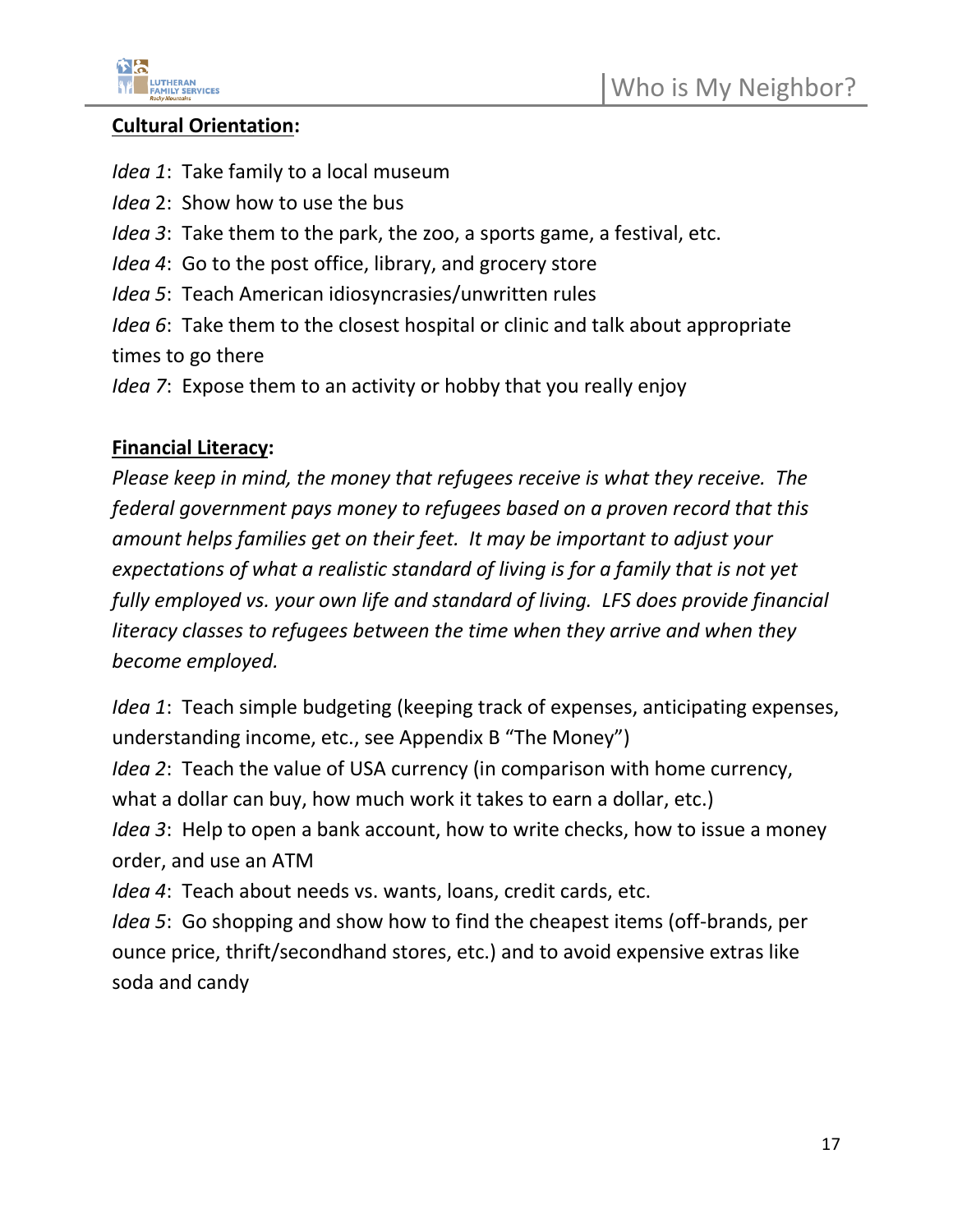

#### **Cultural Orientation:**

- *Idea 1*: Take family to a local museum
- *Idea* 2: Show how to use the bus
- *Idea 3*: Take them to the park, the zoo, a sports game, a festival, etc.
- *Idea 4*: Go to the post office, library, and grocery store
- *Idea 5*: Teach American idiosyncrasies/unwritten rules

*Idea 6*: Take them to the closest hospital or clinic and talk about appropriate times to go there

*Idea 7*: Expose them to an activity or hobby that you really enjoy

#### **Financial Literacy:**

*Please keep in mind, the money that refugees receive is what they receive. The federal government pays money to refugees based on a proven record that this amount helps families get on their feet. It may be important to adjust your expectations of what a realistic standard of living is for a family that is not yet fully employed vs. your own life and standard of living. LFS does provide financial literacy classes to refugees between the time when they arrive and when they become employed.*

*Idea 1*: Teach simple budgeting (keeping track of expenses, anticipating expenses, understanding income, etc., see Appendix B "The Money")

*Idea 2*: Teach the value of USA currency (in comparison with home currency, what a dollar can buy, how much work it takes to earn a dollar, etc.)

*Idea 3*: Help to open a bank account, how to write checks, how to issue a money order, and use an ATM

*Idea 4*: Teach about needs vs. wants, loans, credit cards, etc.

*Idea 5*: Go shopping and show how to find the cheapest items (off-brands, per ounce price, thrift/secondhand stores, etc.) and to avoid expensive extras like soda and candy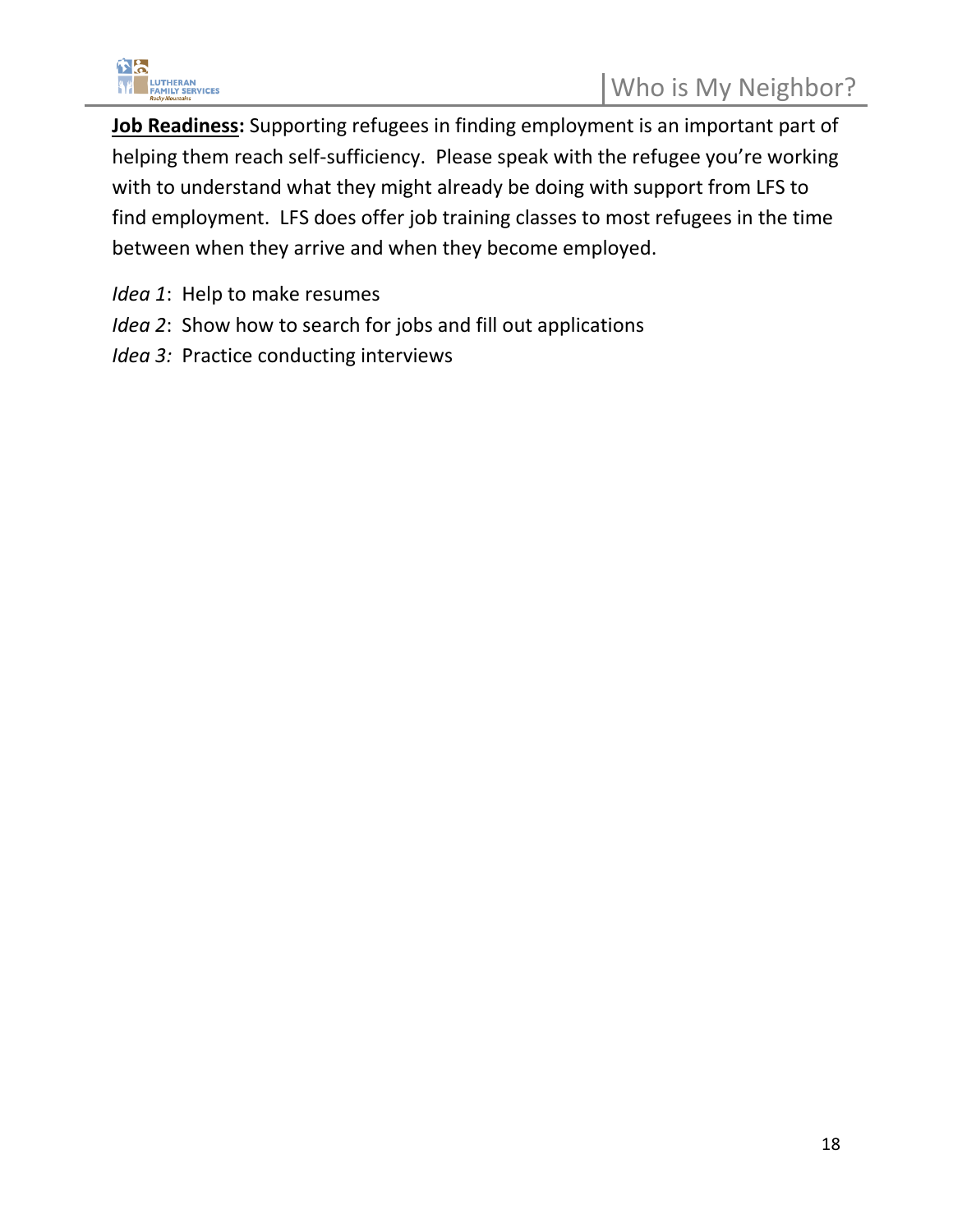

**Job Readiness:** Supporting refugees in finding employment is an important part of helping them reach self-sufficiency. Please speak with the refugee you're working with to understand what they might already be doing with support from LFS to find employment. LFS does offer job training classes to most refugees in the time between when they arrive and when they become employed.

- *Idea 1*: Help to make resumes
- *Idea 2*: Show how to search for jobs and fill out applications
- *Idea 3:* Practice conducting interviews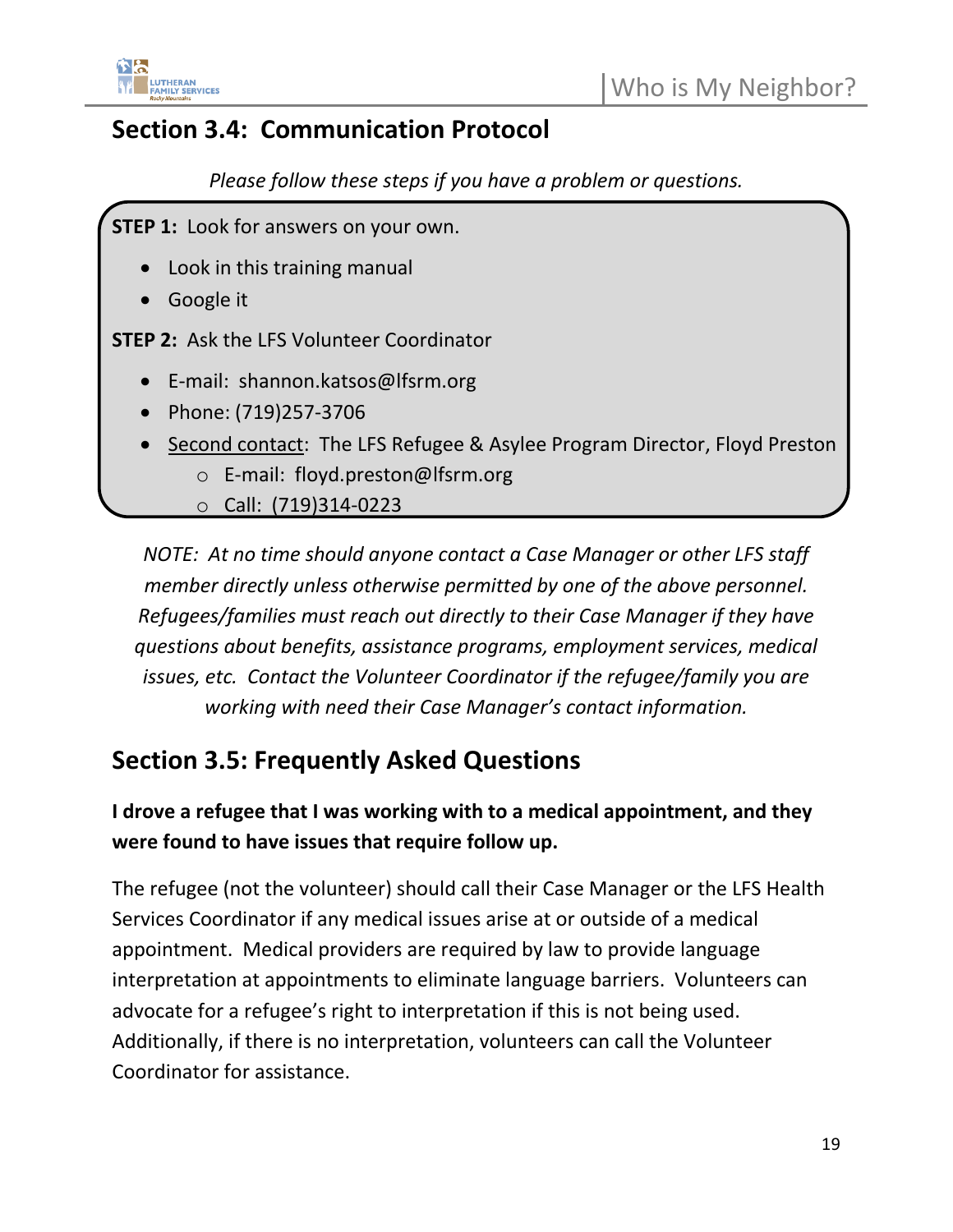

### **Section 3.4: Communication Protocol**

*Please follow these steps if you have a problem or questions.*

**STEP 1:** Look for answers on your own.

- Look in this training manual
- Google it

**STEP 2:** Ask the LFS Volunteer Coordinator

- E-mail: shannon.katsos@lfsrm.org
- Phone: (719)257-3706
- Second contact: The LFS Refugee & Asylee Program Director, Floyd Preston
	- o E-mail: floyd.preston@lfsrm.org
	- o Call: (719)314-0223

*NOTE: At no time should anyone contact a Case Manager or other LFS staff member directly unless otherwise permitted by one of the above personnel. Refugees/families must reach out directly to their Case Manager if they have questions about benefits, assistance programs, employment services, medical issues, etc. Contact the Volunteer Coordinator if the refugee/family you are working with need their Case Manager's contact information.* 

### **Section 3.5: Frequently Asked Questions**

### **I drove a refugee that I was working with to a medical appointment, and they were found to have issues that require follow up.**

The refugee (not the volunteer) should call their Case Manager or the LFS Health Services Coordinator if any medical issues arise at or outside of a medical appointment. Medical providers are required by law to provide language interpretation at appointments to eliminate language barriers. Volunteers can advocate for a refugee's right to interpretation if this is not being used. Additionally, if there is no interpretation, volunteers can call the Volunteer Coordinator for assistance.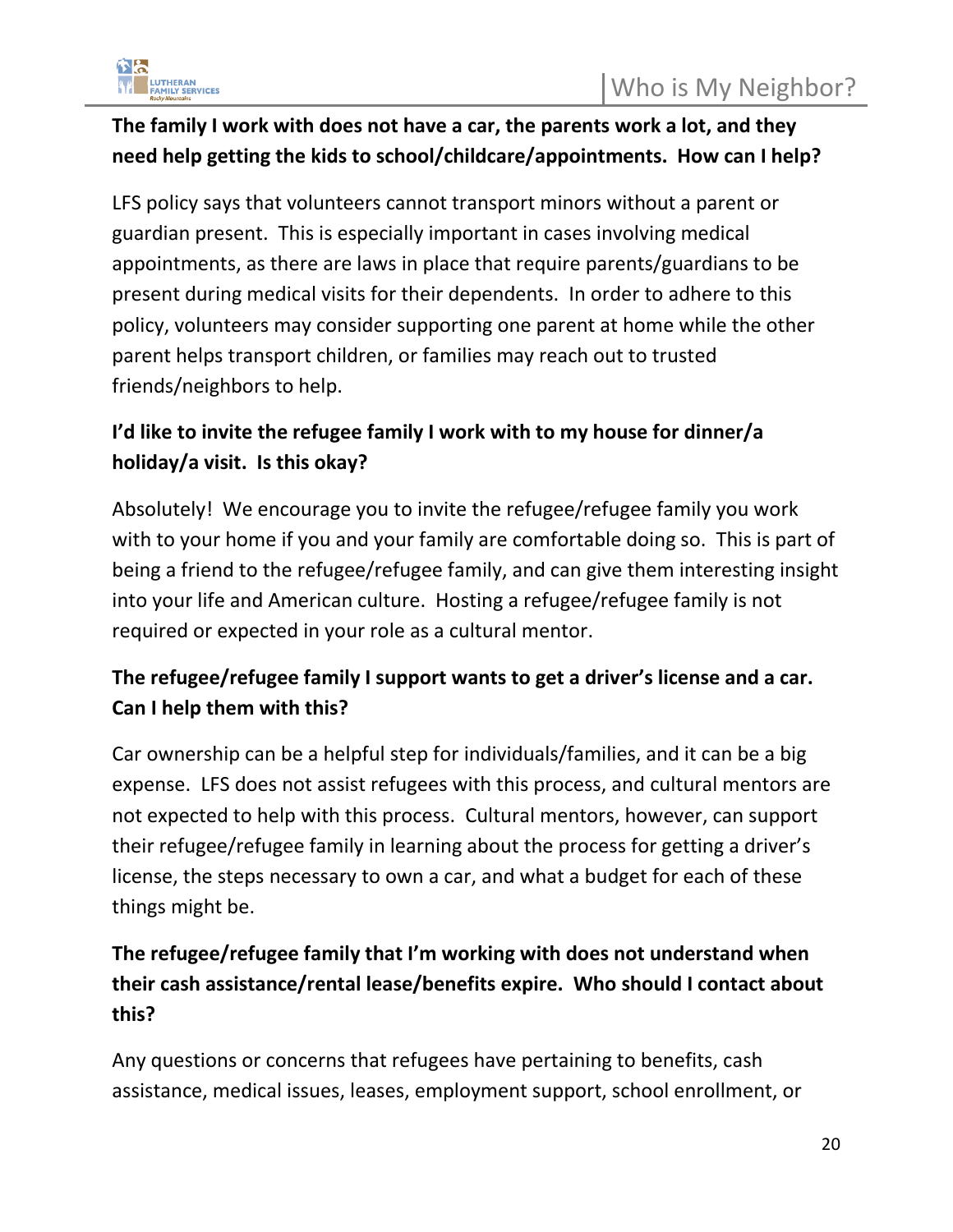

### **The family I work with does not have a car, the parents work a lot, and they need help getting the kids to school/childcare/appointments. How can I help?**

LFS policy says that volunteers cannot transport minors without a parent or guardian present. This is especially important in cases involving medical appointments, as there are laws in place that require parents/guardians to be present during medical visits for their dependents. In order to adhere to this policy, volunteers may consider supporting one parent at home while the other parent helps transport children, or families may reach out to trusted friends/neighbors to help.

### **I'd like to invite the refugee family I work with to my house for dinner/a holiday/a visit. Is this okay?**

Absolutely! We encourage you to invite the refugee/refugee family you work with to your home if you and your family are comfortable doing so. This is part of being a friend to the refugee/refugee family, and can give them interesting insight into your life and American culture. Hosting a refugee/refugee family is not required or expected in your role as a cultural mentor.

### **The refugee/refugee family I support wants to get a driver's license and a car. Can I help them with this?**

Car ownership can be a helpful step for individuals/families, and it can be a big expense. LFS does not assist refugees with this process, and cultural mentors are not expected to help with this process. Cultural mentors, however, can support their refugee/refugee family in learning about the process for getting a driver's license, the steps necessary to own a car, and what a budget for each of these things might be.

### **The refugee/refugee family that I'm working with does not understand when their cash assistance/rental lease/benefits expire. Who should I contact about this?**

Any questions or concerns that refugees have pertaining to benefits, cash assistance, medical issues, leases, employment support, school enrollment, or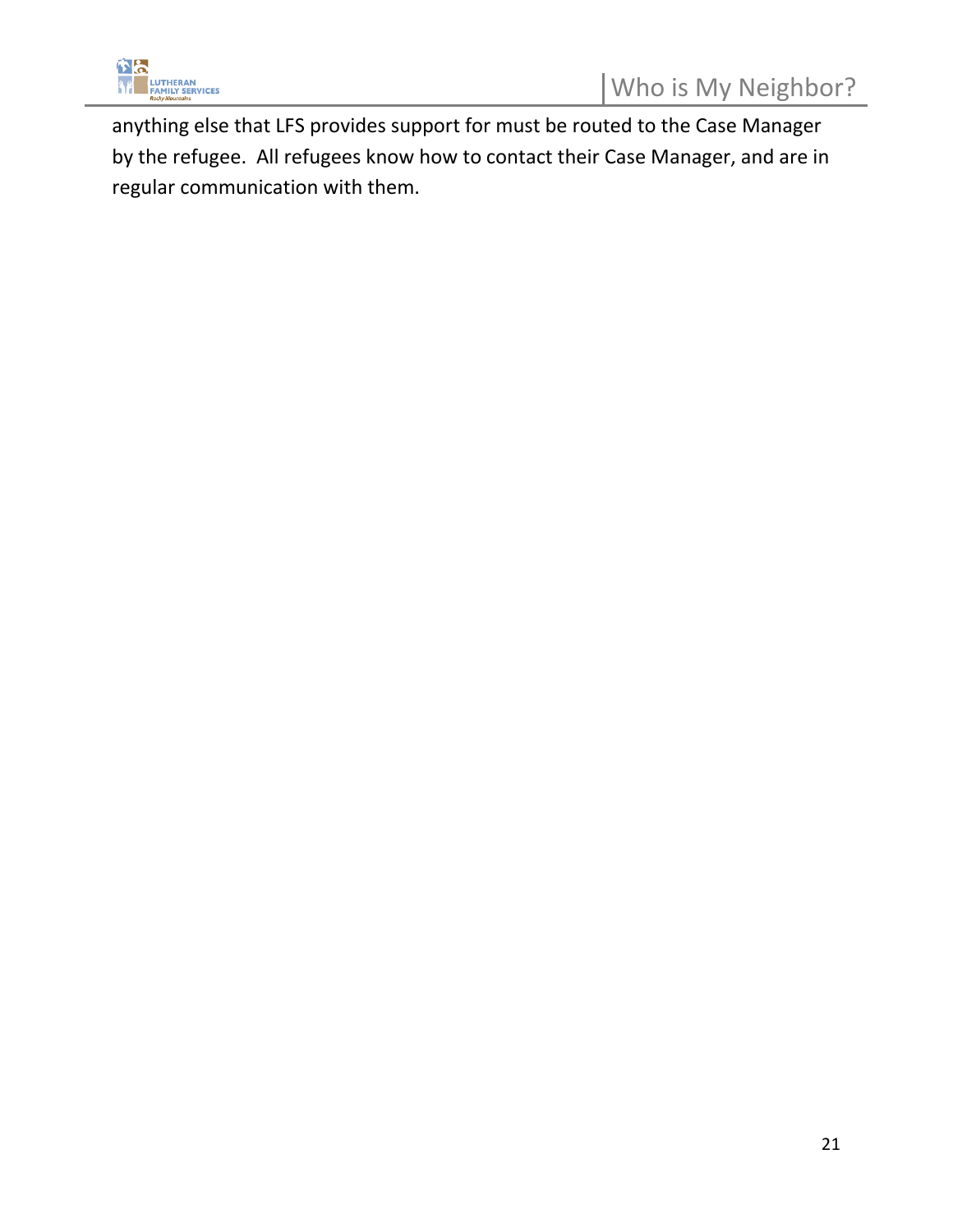

anything else that LFS provides support for must be routed to the Case Manager by the refugee. All refugees know how to contact their Case Manager, and are in regular communication with them.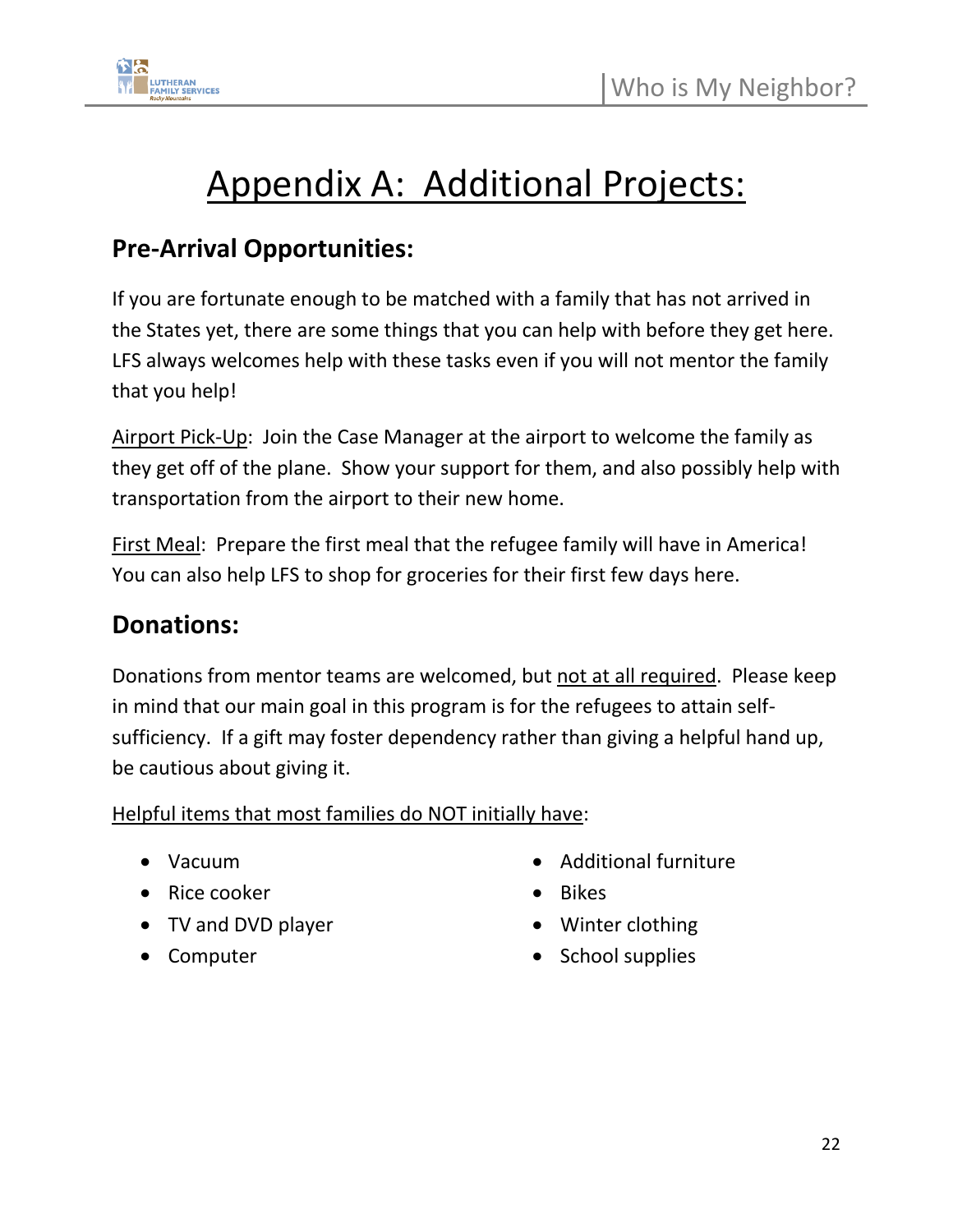

## Appendix A: Additional Projects:

### **Pre-Arrival Opportunities:**

If you are fortunate enough to be matched with a family that has not arrived in the States yet, there are some things that you can help with before they get here. LFS always welcomes help with these tasks even if you will not mentor the family that you help!

Airport Pick-Up: Join the Case Manager at the airport to welcome the family as they get off of the plane. Show your support for them, and also possibly help with transportation from the airport to their new home.

First Meal: Prepare the first meal that the refugee family will have in America! You can also help LFS to shop for groceries for their first few days here.

### **Donations:**

Donations from mentor teams are welcomed, but not at all required. Please keep in mind that our main goal in this program is for the refugees to attain selfsufficiency. If a gift may foster dependency rather than giving a helpful hand up, be cautious about giving it.

Helpful items that most families do NOT initially have:

- Vacuum
- Rice cooker
- TV and DVD player
- Computer
- Additional furniture
- Bikes
- Winter clothing
- School supplies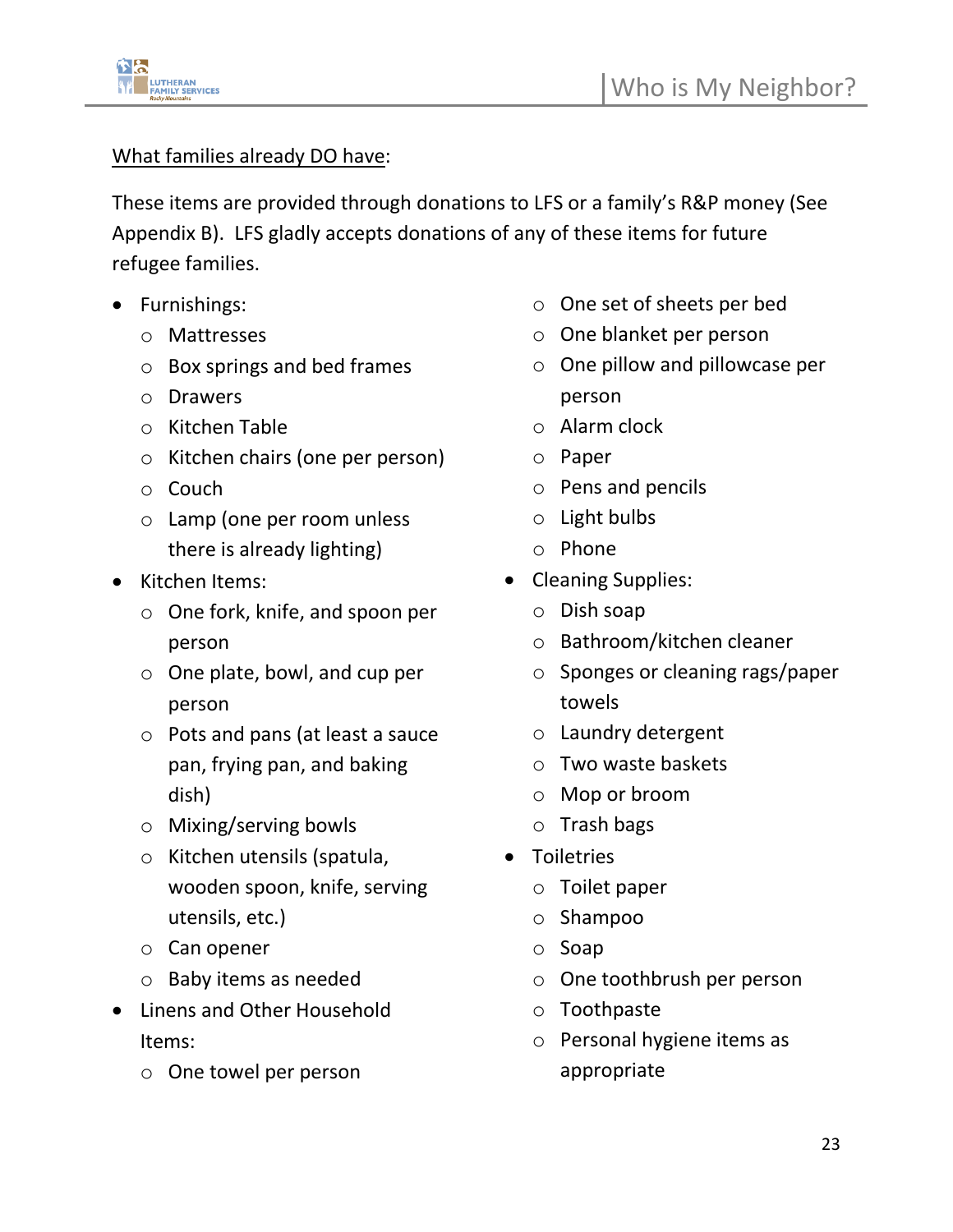

#### What families already DO have:

These items are provided through donations to LFS or a family's R&P money (See Appendix B). LFS gladly accepts donations of any of these items for future refugee families.

- Furnishings:
	- o Mattresses
	- o Box springs and bed frames
	- o Drawers
	- o Kitchen Table
	- o Kitchen chairs (one per person)
	- o Couch
	- o Lamp (one per room unless there is already lighting)
- Kitchen Items:
	- o One fork, knife, and spoon per person
	- o One plate, bowl, and cup per person
	- o Pots and pans (at least a sauce pan, frying pan, and baking dish)
	- o Mixing/serving bowls
	- o Kitchen utensils (spatula, wooden spoon, knife, serving utensils, etc.)
	- o Can opener
	- o Baby items as needed
- Linens and Other Household Items:
	- o One towel per person
- o One set of sheets per bed
- o One blanket per person
- o One pillow and pillowcase per person
- o Alarm clock
- o Paper
- o Pens and pencils
- o Light bulbs
- o Phone
- Cleaning Supplies:
	- o Dish soap
	- o Bathroom/kitchen cleaner
	- o Sponges or cleaning rags/paper towels
	- o Laundry detergent
	- o Two waste baskets
	- o Mop or broom
	- o Trash bags
- Toiletries
	- o Toilet paper
	- o Shampoo
	- o Soap
	- o One toothbrush per person
	- o Toothpaste
	- o Personal hygiene items as appropriate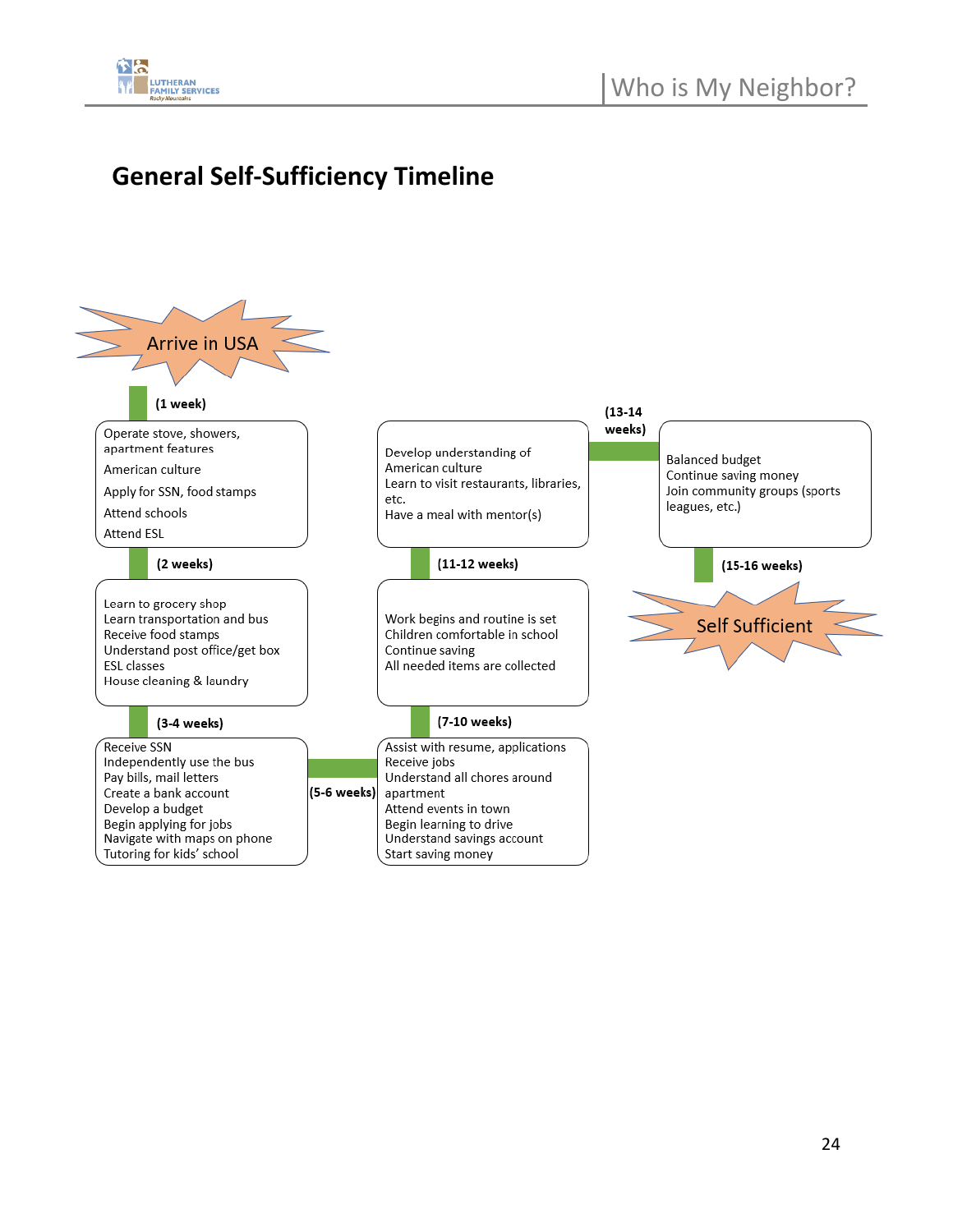

### **General Self-Sufficiency Timeline**

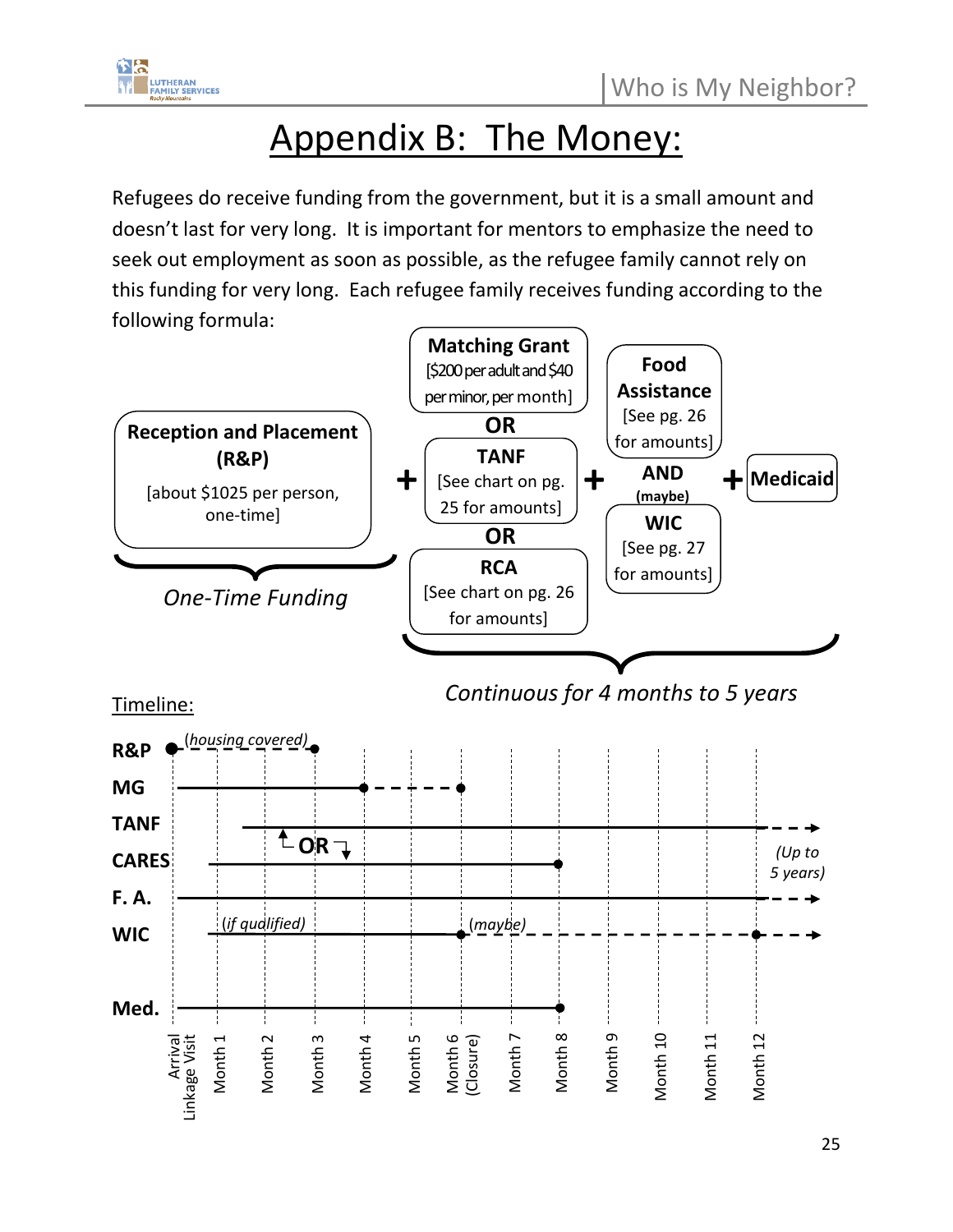

## Appendix B: The Money:

Refugees do receive funding from the government, but it is a small amount and doesn't last for very long. It is important for mentors to emphasize the need to seek out employment as soon as possible, as the refugee family cannot rely on this funding for very long. Each refugee family receives funding according to the following formula:

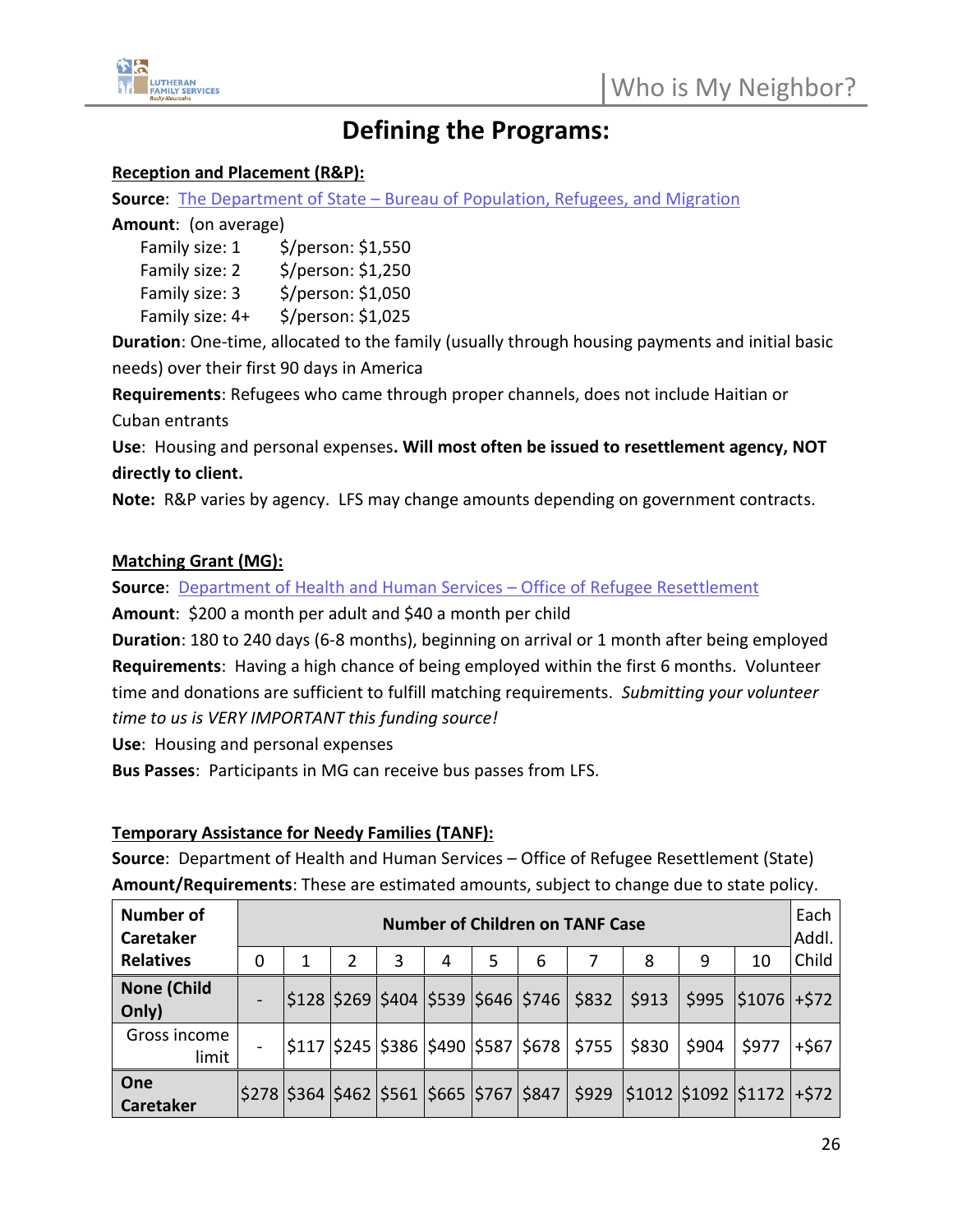

### **Defining the Programs:**

#### **Reception and Placement (R&P):**

**Source**: The Department of State – [Bureau of Population, Refugees, and Migration](https://www.state.gov/refugee-admissions/reception-and-placement/)

#### **Amount**: (on average)

| Family size: 1  | \$/person: \$1,550 |
|-----------------|--------------------|
| Family size: 2  | \$/person: \$1,250 |
| Family size: 3  | \$/person: \$1,050 |
| Family size: 4+ | \$/person: \$1,025 |
|                 |                    |

**Duration**: One-time, allocated to the family (usually through housing payments and initial basic needs) over their first 90 days in America

**Requirements**: Refugees who came through proper channels, does not include Haitian or Cuban entrants

**Use**: Housing and personal expenses**. Will most often be issued to resettlement agency, NOT directly to client.** 

**Note:** R&P varies by agency. LFS may change amounts depending on government contracts.

#### **Matching Grant (MG):**

**Source**: [Department of Health and Human Services](https://www.acf.hhs.gov/orr/programs/refugees/matching-grants) – Office of Refugee Resettlement

**Amount**: \$200 a month per adult and \$40 a month per child

**Duration**: 180 to 240 days (6-8 months), beginning on arrival or 1 month after being employed **Requirements**: Having a high chance of being employed within the first 6 months. Volunteer time and donations are sufficient to fulfill matching requirements. *Submitting your volunteer time to us is VERY IMPORTANT this funding source!*

**Use**: Housing and personal expenses

**Bus Passes**: Participants in MG can receive bus passes from LFS.

#### **Temporary Assistance for Needy Families (TANF):**

**Source**: Department of Health and Human Services – Office of Refugee Resettlement (State) **Amount/Requirements**: These are estimated amounts, subject to change due to state policy.

| <b>Number of</b><br><b>Caretaker</b> | <b>Number of Children on TANF Case</b> |  |  |   |   |   |   |                                                          |       |       |                                                                                         | Each<br>Addl. |
|--------------------------------------|----------------------------------------|--|--|---|---|---|---|----------------------------------------------------------|-------|-------|-----------------------------------------------------------------------------------------|---------------|
| <b>Relatives</b>                     | 0                                      |  |  | 3 | 4 | 5 | 6 |                                                          | 8     | 9     | 10                                                                                      | Child         |
| <b>None (Child</b><br>Only)          |                                        |  |  |   |   |   |   | \$128  \$269  \$404  \$539  \$646  \$746   \$832         | \$913 |       | $$995$ $$1076$ +\$72                                                                    |               |
| Gross income<br>limit                |                                        |  |  |   |   |   |   | \$117  \$245  \$386  \$490  \$587  \$678   \$755   \$830 |       | \$904 | \$977                                                                                   | $+567$        |
| One<br>Caretaker                     |                                        |  |  |   |   |   |   |                                                          |       |       | \$278  \$364  \$462  \$561  \$665  \$767  \$847   \$929   \$1012  \$1092  \$1172  +\$72 |               |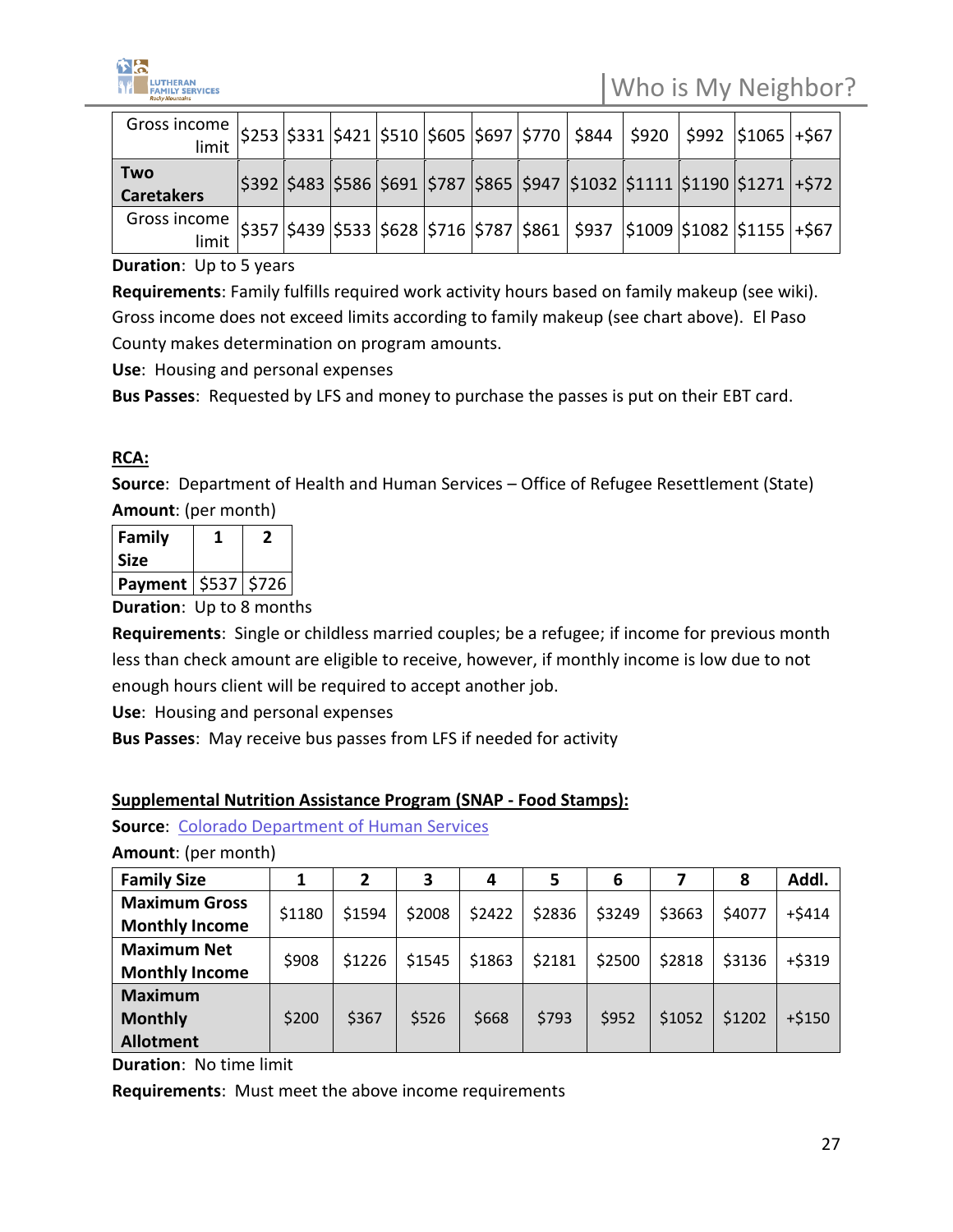

| Gross income   \$253   \$331   \$421   \$510   \$605   \$697   \$770   \$844   \$920   \$992   \$1065   +\$67   |  |  |  |  |  |                                                                                         |  |
|-----------------------------------------------------------------------------------------------------------------|--|--|--|--|--|-----------------------------------------------------------------------------------------|--|
| <b>Two</b><br><b>Caretakers</b>                                                                                 |  |  |  |  |  | \$392  \$483  \$586  \$691  \$787  \$865  \$947  \$1032  \$1111  \$1190  \$1271   +\$72 |  |
| Gross income   \$357   \$439   \$533   \$628   \$716   \$787   \$861   \$937   \$1009   \$1082   \$1155   +\$67 |  |  |  |  |  |                                                                                         |  |

**Duration**: Up to 5 years

**Requirements**: Family fulfills required work activity hours based on family makeup (see wiki). Gross income does not exceed limits according to family makeup (see chart above). El Paso County makes determination on program amounts.

**Use**: Housing and personal expenses

**Bus Passes**: Requested by LFS and money to purchase the passes is put on their EBT card.

#### **RCA:**

**Source**: Department of Health and Human Services – Office of Refugee Resettlement (State) **Amount**: (per month)

| Family                  |  |
|-------------------------|--|
| <b>Size</b>             |  |
| Payment   \$537   \$726 |  |

**Duration**: Up to 8 months

**Requirements**: Single or childless married couples; be a refugee; if income for previous month less than check amount are eligible to receive, however, if monthly income is low due to not enough hours client will be required to accept another job.

**Use**: Housing and personal expenses

**Bus Passes**: May receive bus passes from LFS if needed for activity

#### **Supplemental Nutrition Assistance Program (SNAP - Food Stamps):**

**Source**: [Colorado Department of Human Services](https://cdhs.colorado.gov/snap)

**Amount**: (per month)

| <b>Family Size</b>    |        |        | З      | 4      | 5      | 6      |        | 8      | Addl.    |
|-----------------------|--------|--------|--------|--------|--------|--------|--------|--------|----------|
| <b>Maximum Gross</b>  | \$1180 | \$1594 | \$2008 | \$2422 | \$2836 | \$3249 | \$3663 | \$4077 | $+5414$  |
| <b>Monthly Income</b> |        |        |        |        |        |        |        |        |          |
| <b>Maximum Net</b>    | \$908  | \$1226 | \$1545 | \$1863 | \$2181 | \$2500 | \$2818 | \$3136 | $+ $319$ |
| <b>Monthly Income</b> |        |        |        |        |        |        |        |        |          |
| <b>Maximum</b>        |        |        |        |        |        |        |        |        |          |
| <b>Monthly</b>        | \$200  | \$367  | \$526  | \$668  | \$793  | \$952  | \$1052 | \$1202 | $+ $150$ |
| <b>Allotment</b>      |        |        |        |        |        |        |        |        |          |

**Duration**: No time limit

**Requirements**: Must meet the above income requirements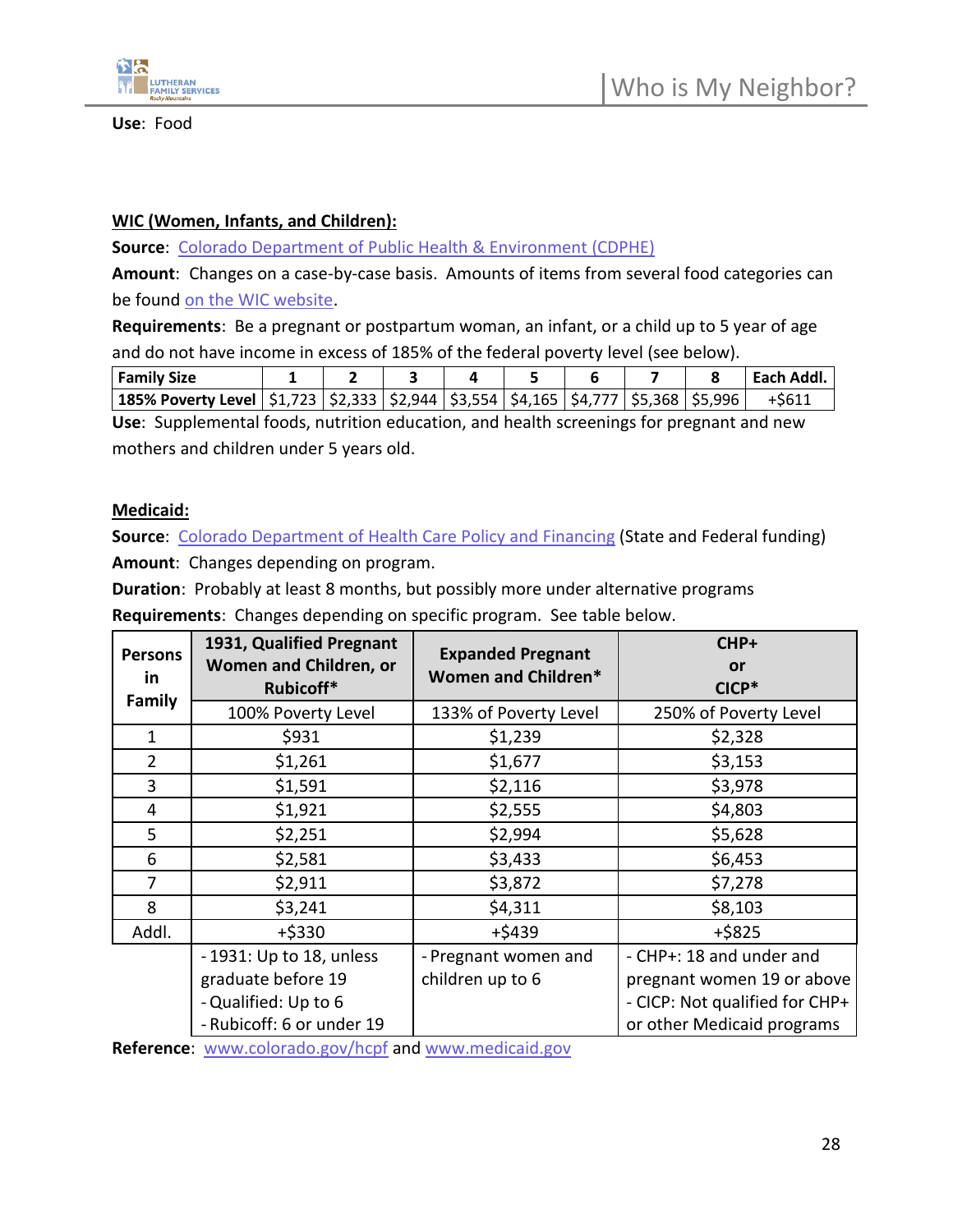

Who is My Neighbor?

#### **WIC (Women, Infants, and Children):**

**Source**: [Colorado Department of Public Health & Environment \(CDPHE\)](https://www.coloradowic.gov/homepage)

**Amount**: Changes on a case-by-case basis. Amounts of items from several food categories can be found [on the WIC website.](https://www.coloradowic.gov/wic-foods-list)

**Requirements**: Be a pregnant or postpartum woman, an infant, or a child up to 5 year of age and do not have income in excess of 185% of the federal poverty level (see below).

| <b>Family Size</b>                                                                                 |  |  |  |  | eacn. |
|----------------------------------------------------------------------------------------------------|--|--|--|--|-------|
| 185% Poverty Level   \$1,723   \$2,333   \$2,944   \$3,554   \$4,165   \$4,777   \$5,368   \$5,996 |  |  |  |  |       |

**Use**: Supplemental foods, nutrition education, and health screenings for pregnant and new mothers and children under 5 years old.

#### **Medicaid:**

**Source:** [Colorado Department of Health Care Policy and Financing](https://www.healthfirstcolorado.com/) (State and Federal funding) **Amount**: Changes depending on program.

**Duration**: Probably at least 8 months, but possibly more under alternative programs **Requirements**: Changes depending on specific program. See table below.

| <b>Persons</b><br>in.<br>Family | 1931, Qualified Pregnant<br>Women and Children, or<br>Rubicoff* | <b>Expanded Pregnant</b><br>Women and Children* |                                |  |  |  |
|---------------------------------|-----------------------------------------------------------------|-------------------------------------------------|--------------------------------|--|--|--|
|                                 | 100% Poverty Level                                              | 133% of Poverty Level                           | 250% of Poverty Level          |  |  |  |
| $\mathbf{1}$                    | \$931                                                           | \$1,239                                         | \$2,328                        |  |  |  |
| $\overline{2}$                  | \$1,261                                                         | \$1,677                                         | \$3,153                        |  |  |  |
| 3                               | \$1,591                                                         | \$2,116                                         | \$3,978                        |  |  |  |
| 4                               | \$1,921                                                         | \$2,555                                         | \$4,803                        |  |  |  |
| 5                               | \$2,251                                                         | \$2,994                                         | \$5,628                        |  |  |  |
| 6                               | \$2,581                                                         | \$3,433                                         | \$6,453                        |  |  |  |
| 7                               | \$2,911                                                         | \$3,872                                         | \$7,278                        |  |  |  |
| 8                               | \$3,241                                                         | \$4,311                                         | \$8,103                        |  |  |  |
| Addl.                           | +\$330                                                          | $+ $439$                                        | $+ $825$                       |  |  |  |
|                                 | -1931: Up to 18, unless                                         | - Pregnant women and                            | - CHP+: 18 and under and       |  |  |  |
|                                 | graduate before 19                                              | children up to 6                                | pregnant women 19 or above     |  |  |  |
|                                 | - Qualified: Up to 6                                            |                                                 | - CICP: Not qualified for CHP+ |  |  |  |
|                                 | - Rubicoff: 6 or under 19                                       |                                                 | or other Medicaid programs     |  |  |  |

**Reference**: <www.colorado.gov/hcpf> and [www.medicaid.gov](www.medicaid.gov%20)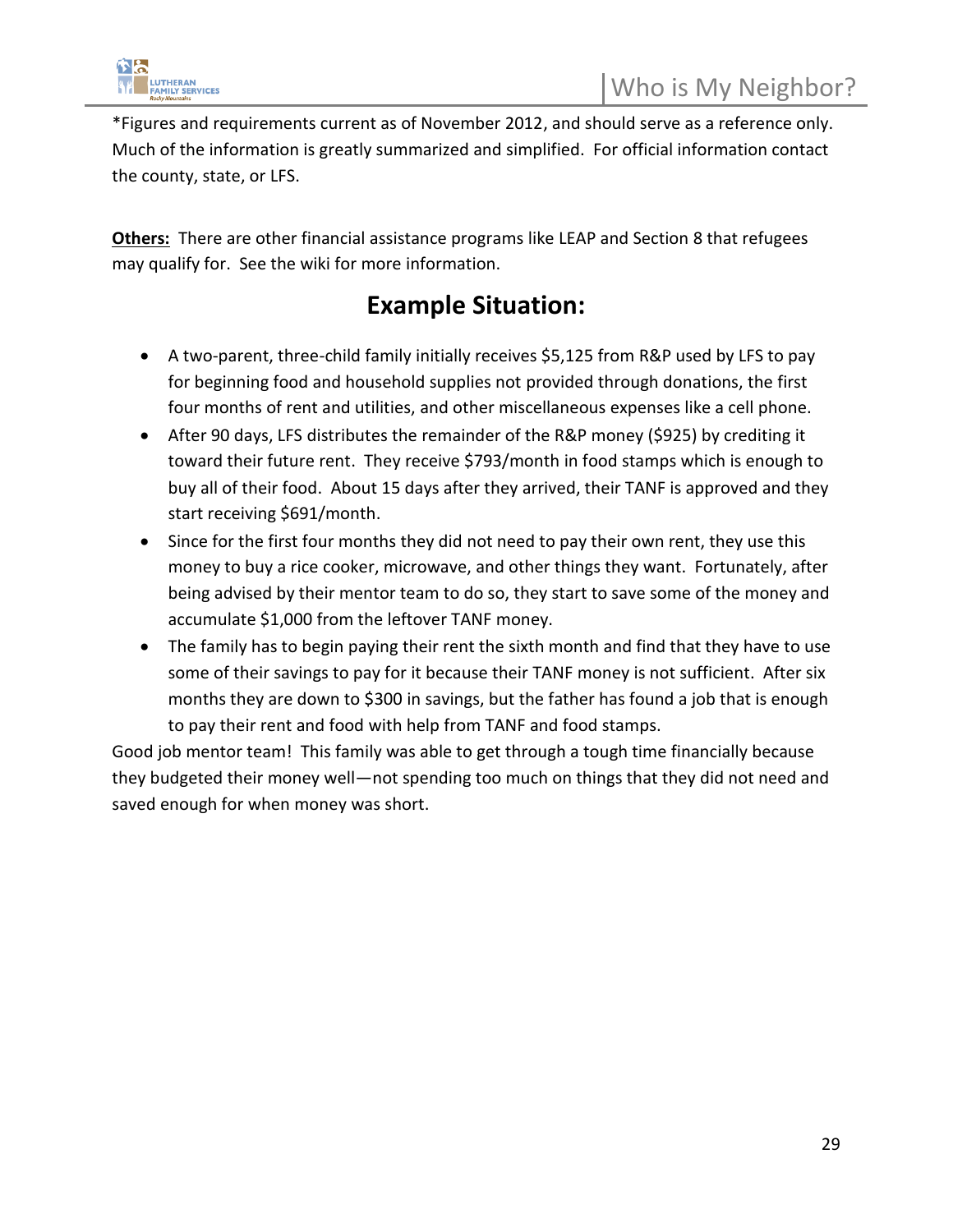

\*Figures and requirements current as of November 2012, and should serve as a reference only. Much of the information is greatly summarized and simplified. For official information contact the county, state, or LFS.

**Others:** There are other financial assistance programs like LEAP and Section 8 that refugees may qualify for. See the wiki for more information.

### **Example Situation:**

- A two-parent, three-child family initially receives \$5,125 from R&P used by LFS to pay for beginning food and household supplies not provided through donations, the first four months of rent and utilities, and other miscellaneous expenses like a cell phone.
- After 90 days, LFS distributes the remainder of the R&P money (\$925) by crediting it toward their future rent. They receive \$793/month in food stamps which is enough to buy all of their food. About 15 days after they arrived, their TANF is approved and they start receiving \$691/month.
- Since for the first four months they did not need to pay their own rent, they use this money to buy a rice cooker, microwave, and other things they want. Fortunately, after being advised by their mentor team to do so, they start to save some of the money and accumulate \$1,000 from the leftover TANF money.
- The family has to begin paying their rent the sixth month and find that they have to use some of their savings to pay for it because their TANF money is not sufficient. After six months they are down to \$300 in savings, but the father has found a job that is enough to pay their rent and food with help from TANF and food stamps.

Good job mentor team! This family was able to get through a tough time financially because they budgeted their money well—not spending too much on things that they did not need and saved enough for when money was short.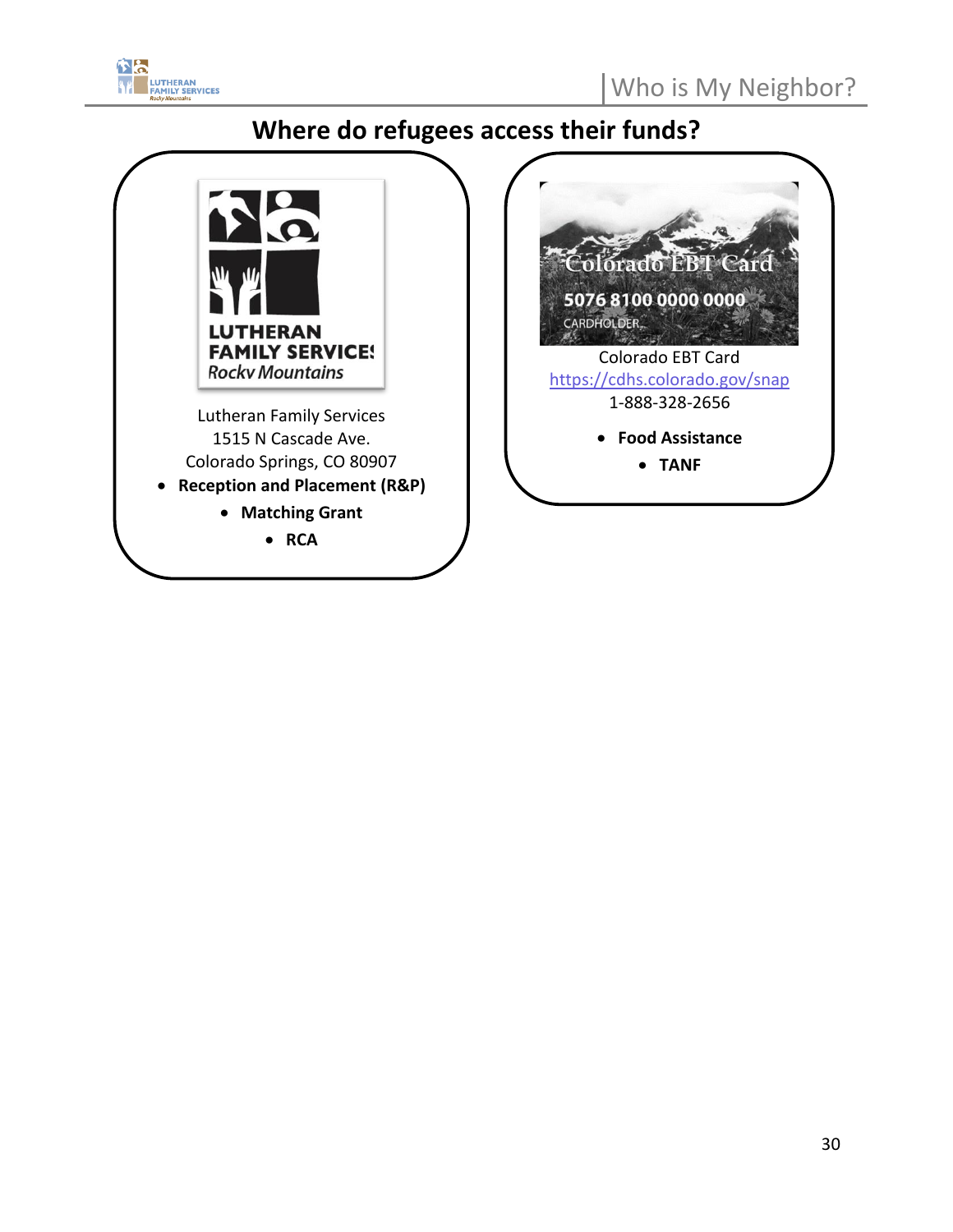

### **Where do refugees access their funds?**